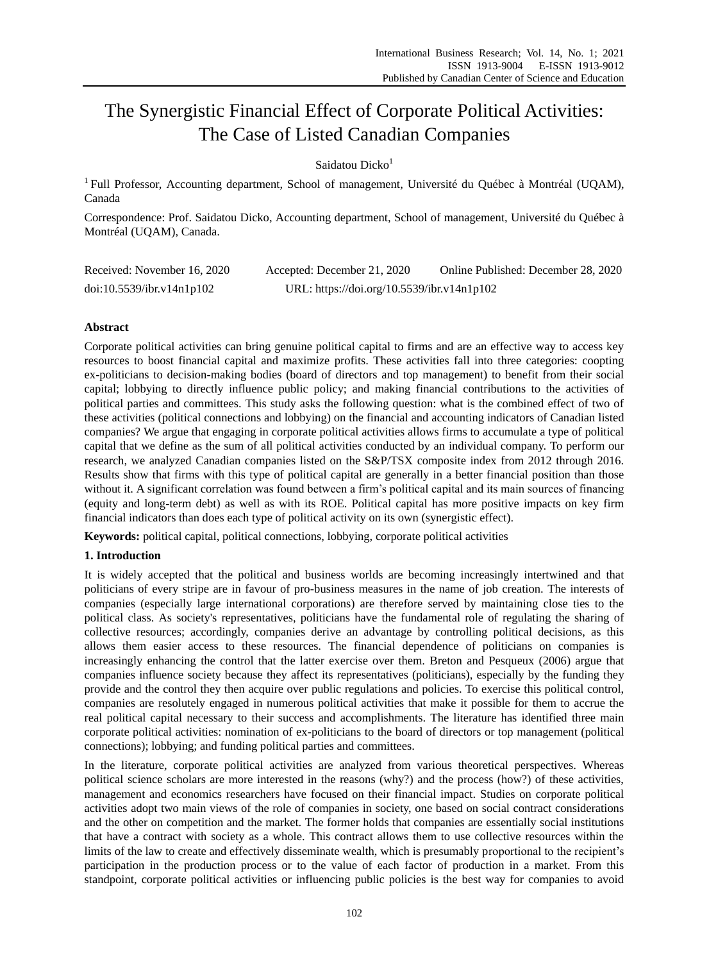# The Synergistic Financial Effect of Corporate Political Activities: The Case of Listed Canadian Companies

# Saidatou Dicko<sup>1</sup>

<sup>1</sup> Full Professor, Accounting department, School of management, Université du Québec à Montréal (UQAM), Canada

Correspondence: Prof. Saidatou Dicko, Accounting department, School of management, Université du Québec à Montréal (UQAM), Canada.

| Received: November 16, 2020 | Accepted: December 21, 2020                | Online Published: December 28, 2020 |
|-----------------------------|--------------------------------------------|-------------------------------------|
| doi:10.5539/ibr.v14n1p102   | URL: https://doi.org/10.5539/ibr.v14n1p102 |                                     |

# **Abstract**

Corporate political activities can bring genuine political capital to firms and are an effective way to access key resources to boost financial capital and maximize profits. These activities fall into three categories: coopting ex-politicians to decision-making bodies (board of directors and top management) to benefit from their social capital; lobbying to directly influence public policy; and making financial contributions to the activities of political parties and committees. This study asks the following question: what is the combined effect of two of these activities (political connections and lobbying) on the financial and accounting indicators of Canadian listed companies? We argue that engaging in corporate political activities allows firms to accumulate a type of political capital that we define as the sum of all political activities conducted by an individual company. To perform our research, we analyzed Canadian companies listed on the S&P/TSX composite index from 2012 through 2016. Results show that firms with this type of political capital are generally in a better financial position than those without it. A significant correlation was found between a firm's political capital and its main sources of financing (equity and long-term debt) as well as with its ROE. Political capital has more positive impacts on key firm financial indicators than does each type of political activity on its own (synergistic effect).

**Keywords:** political capital, political connections, lobbying, corporate political activities

# **1. Introduction**

It is widely accepted that the political and business worlds are becoming increasingly intertwined and that politicians of every stripe are in favour of pro-business measures in the name of job creation. The interests of companies (especially large international corporations) are therefore served by maintaining close ties to the political class. As society's representatives, politicians have the fundamental role of regulating the sharing of collective resources; accordingly, companies derive an advantage by controlling political decisions, as this allows them easier access to these resources. The financial dependence of politicians on companies is increasingly enhancing the control that the latter exercise over them. Breton and Pesqueux (2006) argue that companies influence society because they affect its representatives (politicians), especially by the funding they provide and the control they then acquire over public regulations and policies. To exercise this political control, companies are resolutely engaged in numerous political activities that make it possible for them to accrue the real political capital necessary to their success and accomplishments. The literature has identified three main corporate political activities: nomination of ex-politicians to the board of directors or top management (political connections); lobbying; and funding political parties and committees.

In the literature, corporate political activities are analyzed from various theoretical perspectives. Whereas political science scholars are more interested in the reasons (why?) and the process (how?) of these activities, management and economics researchers have focused on their financial impact. Studies on corporate political activities adopt two main views of the role of companies in society, one based on social contract considerations and the other on competition and the market. The former holds that companies are essentially social institutions that have a contract with society as a whole. This contract allows them to use collective resources within the limits of the law to create and effectively disseminate wealth, which is presumably proportional to the recipient's participation in the production process or to the value of each factor of production in a market. From this standpoint, corporate political activities or influencing public policies is the best way for companies to avoid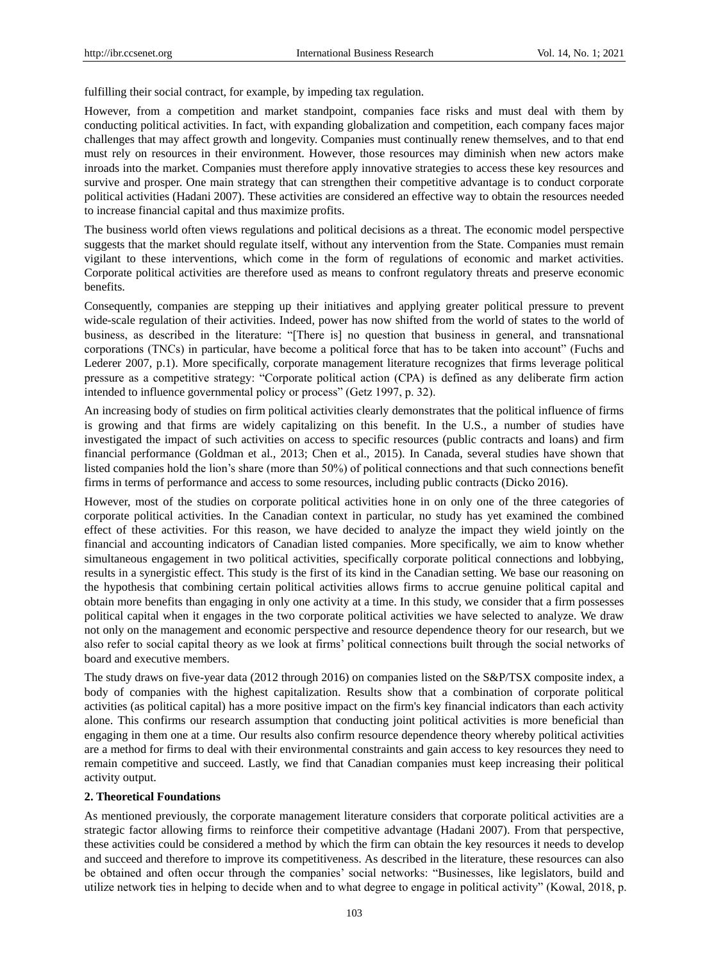fulfilling their social contract, for example, by impeding tax regulation.

However, from a competition and market standpoint, companies face risks and must deal with them by conducting political activities. In fact, with expanding globalization and competition, each company faces major challenges that may affect growth and longevity. Companies must continually renew themselves, and to that end must rely on resources in their environment. However, those resources may diminish when new actors make inroads into the market. Companies must therefore apply innovative strategies to access these key resources and survive and prosper. One main strategy that can strengthen their competitive advantage is to conduct corporate political activities (Hadani 2007). These activities are considered an effective way to obtain the resources needed to increase financial capital and thus maximize profits.

The business world often views regulations and political decisions as a threat. The economic model perspective suggests that the market should regulate itself, without any intervention from the State. Companies must remain vigilant to these interventions, which come in the form of regulations of economic and market activities. Corporate political activities are therefore used as means to confront regulatory threats and preserve economic benefits.

Consequently, companies are stepping up their initiatives and applying greater political pressure to prevent wide-scale regulation of their activities. Indeed, power has now shifted from the world of states to the world of business, as described in the literature: "[There is] no question that business in general, and transnational corporations (TNCs) in particular, have become a political force that has to be taken into account" (Fuchs and Lederer 2007, p.1). More specifically, corporate management literature recognizes that firms leverage political pressure as a competitive strategy: "Corporate political action (CPA) is defined as any deliberate firm action intended to influence governmental policy or process" (Getz 1997, p. 32).

An increasing body of studies on firm political activities clearly demonstrates that the political influence of firms is growing and that firms are widely capitalizing on this benefit. In the U.S., a number of studies have investigated the impact of such activities on access to specific resources (public contracts and loans) and firm financial performance (Goldman et al., 2013; Chen et al., 2015). In Canada, several studies have shown that listed companies hold the lion's share (more than 50%) of political connections and that such connections benefit firms in terms of performance and access to some resources, including public contracts (Dicko 2016).

However, most of the studies on corporate political activities hone in on only one of the three categories of corporate political activities. In the Canadian context in particular, no study has yet examined the combined effect of these activities. For this reason, we have decided to analyze the impact they wield jointly on the financial and accounting indicators of Canadian listed companies. More specifically, we aim to know whether simultaneous engagement in two political activities, specifically corporate political connections and lobbying, results in a synergistic effect. This study is the first of its kind in the Canadian setting. We base our reasoning on the hypothesis that combining certain political activities allows firms to accrue genuine political capital and obtain more benefits than engaging in only one activity at a time. In this study, we consider that a firm possesses political capital when it engages in the two corporate political activities we have selected to analyze. We draw not only on the management and economic perspective and resource dependence theory for our research, but we also refer to social capital theory as we look at firms' political connections built through the social networks of board and executive members.

The study draws on five-year data (2012 through 2016) on companies listed on the S&P/TSX composite index, a body of companies with the highest capitalization. Results show that a combination of corporate political activities (as political capital) has a more positive impact on the firm's key financial indicators than each activity alone. This confirms our research assumption that conducting joint political activities is more beneficial than engaging in them one at a time. Our results also confirm resource dependence theory whereby political activities are a method for firms to deal with their environmental constraints and gain access to key resources they need to remain competitive and succeed. Lastly, we find that Canadian companies must keep increasing their political activity output.

#### **2. Theoretical Foundations**

As mentioned previously, the corporate management literature considers that corporate political activities are a strategic factor allowing firms to reinforce their competitive advantage (Hadani 2007). From that perspective, these activities could be considered a method by which the firm can obtain the key resources it needs to develop and succeed and therefore to improve its competitiveness. As described in the literature, these resources can also be obtained and often occur through the companies' social networks: "Businesses, like legislators, build and utilize network ties in helping to decide when and to what degree to engage in political activity" (Kowal, 2018, p.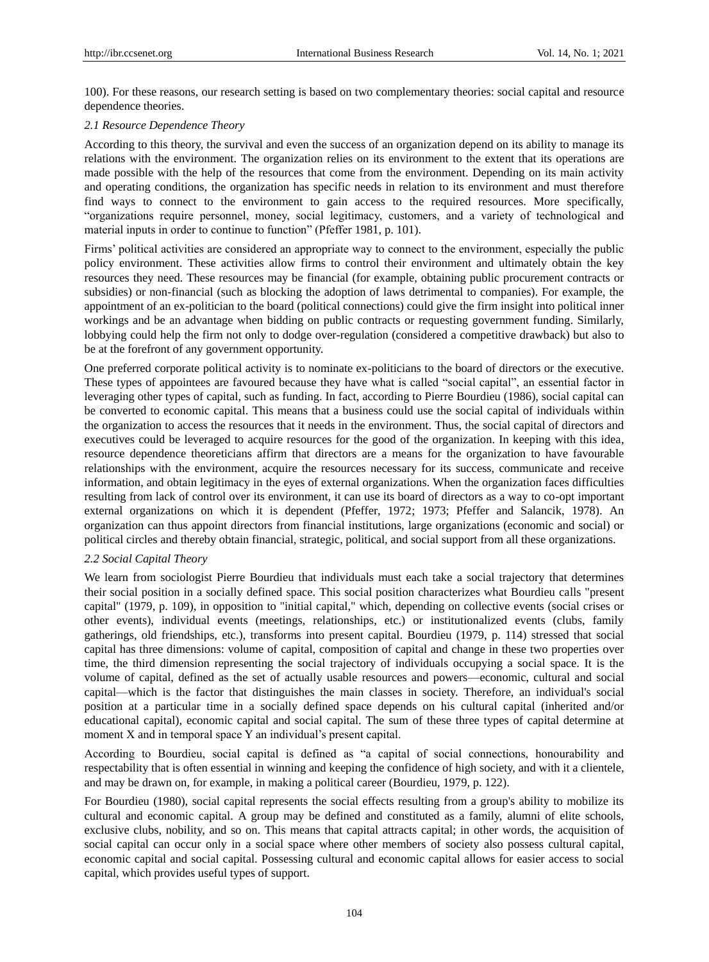100). For these reasons, our research setting is based on two complementary theories: social capital and resource dependence theories.

#### *2.1 Resource Dependence Theory*

According to this theory, the survival and even the success of an organization depend on its ability to manage its relations with the environment. The organization relies on its environment to the extent that its operations are made possible with the help of the resources that come from the environment. Depending on its main activity and operating conditions, the organization has specific needs in relation to its environment and must therefore find ways to connect to the environment to gain access to the required resources. More specifically, ―organizations require personnel, money, social legitimacy, customers, and a variety of technological and material inputs in order to continue to function" (Pfeffer 1981, p. 101).

Firms' political activities are considered an appropriate way to connect to the environment, especially the public policy environment. These activities allow firms to control their environment and ultimately obtain the key resources they need. These resources may be financial (for example, obtaining public procurement contracts or subsidies) or non-financial (such as blocking the adoption of laws detrimental to companies). For example, the appointment of an ex-politician to the board (political connections) could give the firm insight into political inner workings and be an advantage when bidding on public contracts or requesting government funding. Similarly, lobbying could help the firm not only to dodge over-regulation (considered a competitive drawback) but also to be at the forefront of any government opportunity.

One preferred corporate political activity is to nominate ex-politicians to the board of directors or the executive. These types of appointees are favoured because they have what is called "social capital", an essential factor in leveraging other types of capital, such as funding. In fact, according to Pierre Bourdieu (1986), social capital can be converted to economic capital. This means that a business could use the social capital of individuals within the organization to access the resources that it needs in the environment. Thus, the social capital of directors and executives could be leveraged to acquire resources for the good of the organization. In keeping with this idea, resource dependence theoreticians affirm that directors are a means for the organization to have favourable relationships with the environment, acquire the resources necessary for its success, communicate and receive information, and obtain legitimacy in the eyes of external organizations. When the organization faces difficulties resulting from lack of control over its environment, it can use its board of directors as a way to co-opt important external organizations on which it is dependent (Pfeffer, 1972; 1973; Pfeffer and Salancik, 1978). An organization can thus appoint directors from financial institutions, large organizations (economic and social) or political circles and thereby obtain financial, strategic, political, and social support from all these organizations.

## *2.2 Social Capital Theory*

We learn from sociologist Pierre Bourdieu that individuals must each take a social trajectory that determines their social position in a socially defined space. This social position characterizes what Bourdieu calls "present capital" (1979, p. 109), in opposition to "initial capital," which, depending on collective events (social crises or other events), individual events (meetings, relationships, etc.) or institutionalized events (clubs, family gatherings, old friendships, etc.), transforms into present capital. Bourdieu (1979, p. 114) stressed that social capital has three dimensions: volume of capital, composition of capital and change in these two properties over time, the third dimension representing the social trajectory of individuals occupying a social space. It is the volume of capital, defined as the set of actually usable resources and powers—economic, cultural and social capital—which is the factor that distinguishes the main classes in society. Therefore, an individual's social position at a particular time in a socially defined space depends on his cultural capital (inherited and/or educational capital), economic capital and social capital. The sum of these three types of capital determine at moment X and in temporal space Y an individual's present capital.

According to Bourdieu, social capital is defined as "a capital of social connections, honourability and respectability that is often essential in winning and keeping the confidence of high society, and with it a clientele, and may be drawn on, for example, in making a political career (Bourdieu, 1979, p. 122).

For Bourdieu (1980), social capital represents the social effects resulting from a group's ability to mobilize its cultural and economic capital. A group may be defined and constituted as a family, alumni of elite schools, exclusive clubs, nobility, and so on. This means that capital attracts capital; in other words, the acquisition of social capital can occur only in a social space where other members of society also possess cultural capital, economic capital and social capital. Possessing cultural and economic capital allows for easier access to social capital, which provides useful types of support.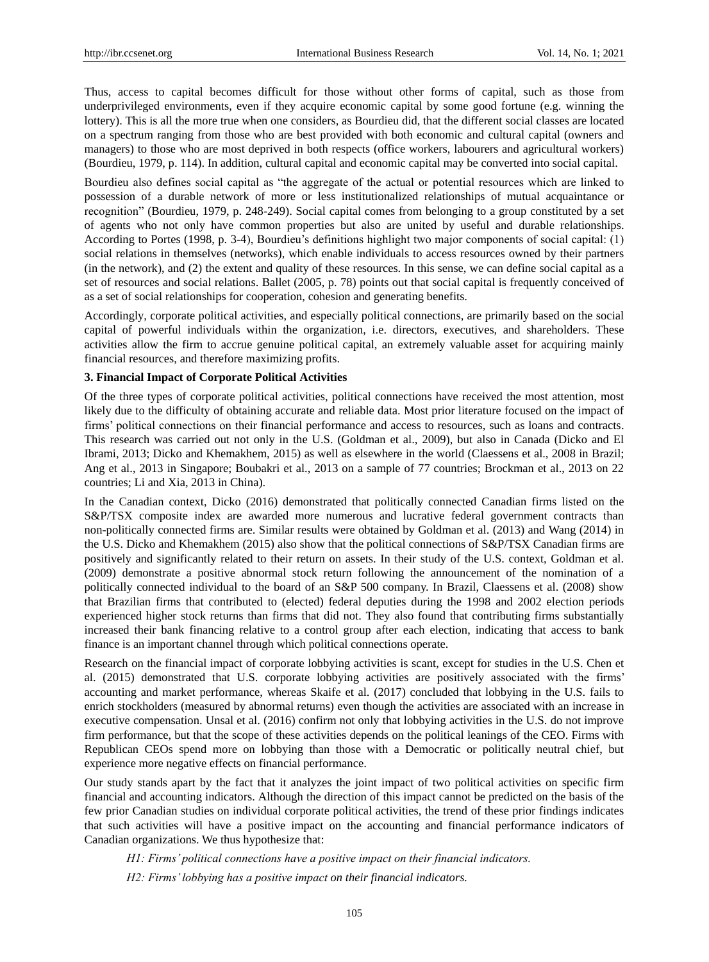Thus, access to capital becomes difficult for those without other forms of capital, such as those from underprivileged environments, even if they acquire economic capital by some good fortune (e.g. winning the lottery). This is all the more true when one considers, as Bourdieu did, that the different social classes are located on a spectrum ranging from those who are best provided with both economic and cultural capital (owners and managers) to those who are most deprived in both respects (office workers, labourers and agricultural workers) (Bourdieu, 1979, p. 114). In addition, cultural capital and economic capital may be converted into social capital.

Bourdieu also defines social capital as "the aggregate of the actual or potential resources which are linked to possession of a durable network of more or less institutionalized relationships of mutual acquaintance or recognition‖ (Bourdieu, 1979, p. 248-249). Social capital comes from belonging to a group constituted by a set of agents who not only have common properties but also are united by useful and durable relationships. According to Portes (1998, p. 3-4), Bourdieu's definitions highlight two major components of social capital: (1) social relations in themselves (networks), which enable individuals to access resources owned by their partners (in the network), and (2) the extent and quality of these resources. In this sense, we can define social capital as a set of resources and social relations. Ballet (2005, p. 78) points out that social capital is frequently conceived of as a set of social relationships for cooperation, cohesion and generating benefits.

Accordingly, corporate political activities, and especially political connections, are primarily based on the social capital of powerful individuals within the organization, i.e. directors, executives, and shareholders. These activities allow the firm to accrue genuine political capital, an extremely valuable asset for acquiring mainly financial resources, and therefore maximizing profits.

## **3. Financial Impact of Corporate Political Activities**

Of the three types of corporate political activities, political connections have received the most attention, most likely due to the difficulty of obtaining accurate and reliable data. Most prior literature focused on the impact of firms' political connections on their financial performance and access to resources, such as loans and contracts. This research was carried out not only in the U.S. (Goldman et al., 2009), but also in Canada (Dicko and El Ibrami, 2013; Dicko and Khemakhem, 2015) as well as elsewhere in the world (Claessens et al., 2008 in Brazil; Ang et al., 2013 in Singapore; Boubakri et al., 2013 on a sample of 77 countries; Brockman et al., 2013 on 22 countries; Li and Xia, 2013 in China).

In the Canadian context, Dicko (2016) demonstrated that politically connected Canadian firms listed on the S&P/TSX composite index are awarded more numerous and lucrative federal government contracts than non-politically connected firms are. Similar results were obtained by Goldman et al. (2013) and Wang (2014) in the U.S. Dicko and Khemakhem (2015) also show that the political connections of S&P/TSX Canadian firms are positively and significantly related to their return on assets. In their study of the U.S. context, Goldman et al. (2009) demonstrate a positive abnormal stock return following the announcement of the nomination of a politically connected individual to the board of an S&P 500 company. In Brazil, Claessens et al. (2008) show that Brazilian firms that contributed to (elected) federal deputies during the 1998 and 2002 election periods experienced higher stock returns than firms that did not. They also found that contributing firms substantially increased their bank financing relative to a control group after each election, indicating that access to bank finance is an important channel through which political connections operate.

Research on the financial impact of corporate lobbying activities is scant, except for studies in the U.S. Chen et al. (2015) demonstrated that U.S. corporate lobbying activities are positively associated with the firms' accounting and market performance, whereas Skaife et al. (2017) concluded that lobbying in the U.S. fails to enrich stockholders (measured by abnormal returns) even though the activities are associated with an increase in executive compensation. Unsal et al. (2016) confirm not only that lobbying activities in the U.S. do not improve firm performance, but that the scope of these activities depends on the political leanings of the CEO. Firms with Republican CEOs spend more on lobbying than those with a Democratic or politically neutral chief, but experience more negative effects on financial performance.

Our study stands apart by the fact that it analyzes the joint impact of two political activities on specific firm financial and accounting indicators. Although the direction of this impact cannot be predicted on the basis of the few prior Canadian studies on individual corporate political activities, the trend of these prior findings indicates that such activities will have a positive impact on the accounting and financial performance indicators of Canadian organizations. We thus hypothesize that:

*H1: Firms' political connections have a positive impact on their financial indicators. H2: Firms' lobbying has a positive impact on their financial indicators.*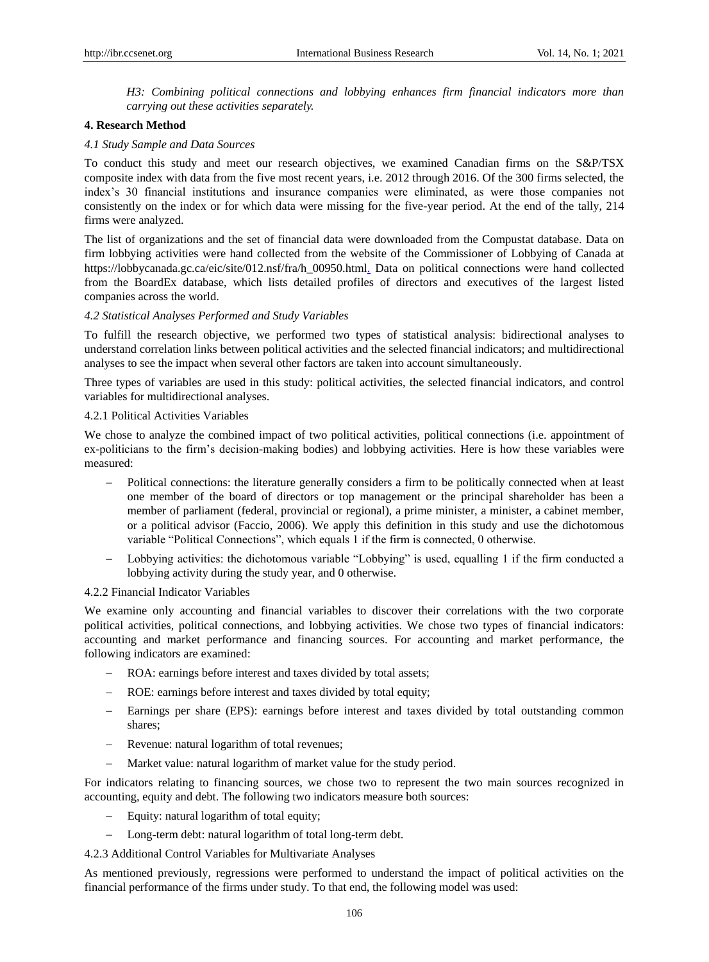*H3: Combining political connections and lobbying enhances firm financial indicators more than carrying out these activities separately.*

# **4. Research Method**

## *4.1 Study Sample and Data Sources*

To conduct this study and meet our research objectives, we examined Canadian firms on the S&P/TSX composite index with data from the five most recent years, i.e. 2012 through 2016. Of the 300 firms selected, the index's 30 financial institutions and insurance companies were eliminated, as were those companies not consistently on the index or for which data were missing for the five-year period. At the end of the tally, 214 firms were analyzed.

The list of organizations and the set of financial data were downloaded from the Compustat database. Data on firm lobbying activities were hand collected from the website of the Commissioner of Lobbying of Canada at https://lobbycanada.gc.ca/eic/site/012.nsf/fra/h\_00950.html. Data on political connections were hand collected from the BoardEx database, which lists detailed profiles of directors and executives of the largest listed companies across the world.

# *4.2 Statistical Analyses Performed and Study Variables*

To fulfill the research objective, we performed two types of statistical analysis: bidirectional analyses to understand correlation links between political activities and the selected financial indicators; and multidirectional analyses to see the impact when several other factors are taken into account simultaneously.

Three types of variables are used in this study: political activities, the selected financial indicators, and control variables for multidirectional analyses.

# 4.2.1 Political Activities Variables

We chose to analyze the combined impact of two political activities, political connections (i.e. appointment of ex-politicians to the firm's decision-making bodies) and lobbying activities. Here is how these variables were measured:

- Political connections: the literature generally considers a firm to be politically connected when at least one member of the board of directors or top management or the principal shareholder has been a member of parliament (federal, provincial or regional), a prime minister, a minister, a cabinet member, or a political advisor (Faccio, 2006). We apply this definition in this study and use the dichotomous variable "Political Connections", which equals 1 if the firm is connected, 0 otherwise.
- Lobbying activities: the dichotomous variable "Lobbying" is used, equalling 1 if the firm conducted a lobbying activity during the study year, and 0 otherwise.

# 4.2.2 Financial Indicator Variables

We examine only accounting and financial variables to discover their correlations with the two corporate political activities, political connections, and lobbying activities. We chose two types of financial indicators: accounting and market performance and financing sources. For accounting and market performance, the following indicators are examined:

- ROA: earnings before interest and taxes divided by total assets;
- ROE: earnings before interest and taxes divided by total equity;
- Earnings per share (EPS): earnings before interest and taxes divided by total outstanding common shares;
- Revenue: natural logarithm of total revenues;
- Market value: natural logarithm of market value for the study period.

For indicators relating to financing sources, we chose two to represent the two main sources recognized in accounting, equity and debt. The following two indicators measure both sources:

- Equity: natural logarithm of total equity;
- Long-term debt: natural logarithm of total long-term debt.

4.2.3 Additional Control Variables for Multivariate Analyses

As mentioned previously, regressions were performed to understand the impact of political activities on the financial performance of the firms under study. To that end, the following model was used: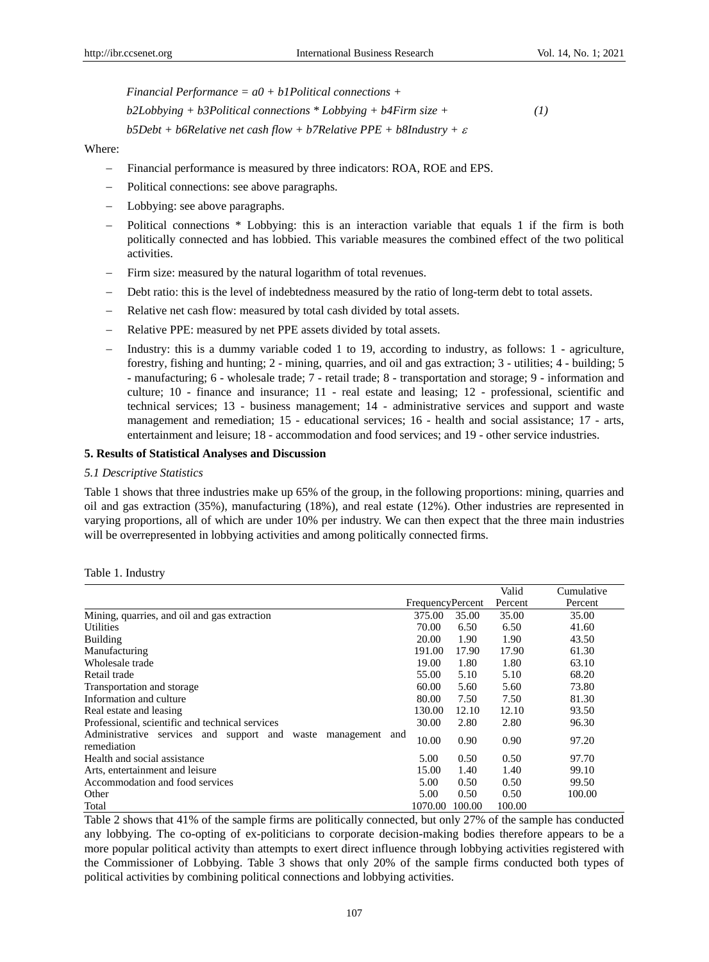*Financial Performance = a0 + b1Political connections + b2Lobbying + b3Political connections \* Lobbying + b4Firm size + (1) b5Debt + b6Relative net cash flow + b7Relative PPE + b8Industry +*  $\varepsilon$ 

# Where:

- Financial performance is measured by three indicators: ROA, ROE and EPS.
- Political connections: see above paragraphs.
- Lobbying: see above paragraphs.
- Political connections \* Lobbying: this is an interaction variable that equals 1 if the firm is both politically connected and has lobbied. This variable measures the combined effect of the two political activities.
- Firm size: measured by the natural logarithm of total revenues.
- Debt ratio: this is the level of indebtedness measured by the ratio of long-term debt to total assets.
- Relative net cash flow: measured by total cash divided by total assets.
- Relative PPE: measured by net PPE assets divided by total assets.
- Industry: this is a dummy variable coded 1 to 19, according to industry, as follows: 1 agriculture, forestry, fishing and hunting; 2 - mining, quarries, and oil and gas extraction; 3 - utilities; 4 - building; 5 - manufacturing; 6 - wholesale trade; 7 - retail trade; 8 - transportation and storage; 9 - information and culture; 10 - finance and insurance; 11 - real estate and leasing; 12 - professional, scientific and technical services; 13 - business management; 14 - administrative services and support and waste management and remediation; 15 - educational services; 16 - health and social assistance; 17 - arts, entertainment and leisure; 18 - accommodation and food services; and 19 - other service industries.

#### **5. Results of Statistical Analyses and Discussion**

#### *5.1 Descriptive Statistics*

Table 1 shows that three industries make up 65% of the group, in the following proportions: mining, quarries and oil and gas extraction (35%), manufacturing (18%), and real estate (12%). Other industries are represented in varying proportions, all of which are under 10% per industry. We can then expect that the three main industries will be overrepresented in lobbying activities and among politically connected firms.

|                                                                                   |                         |        | Valid   | Cumulative |
|-----------------------------------------------------------------------------------|-------------------------|--------|---------|------------|
|                                                                                   | <b>FrequencyPercent</b> |        | Percent | Percent    |
| Mining, quarries, and oil and gas extraction                                      | 375.00                  | 35.00  | 35.00   | 35.00      |
| <b>Utilities</b>                                                                  | 70.00                   | 6.50   | 6.50    | 41.60      |
| Building                                                                          | 20.00                   | 1.90   | 1.90    | 43.50      |
| Manufacturing                                                                     | 191.00                  | 17.90  | 17.90   | 61.30      |
| Wholesale trade                                                                   | 19.00                   | 1.80   | 1.80    | 63.10      |
| Retail trade                                                                      | 55.00                   | 5.10   | 5.10    | 68.20      |
| Transportation and storage                                                        | 60.00                   | 5.60   | 5.60    | 73.80      |
| Information and culture                                                           | 80.00                   | 7.50   | 7.50    | 81.30      |
| Real estate and leasing                                                           | 130.00                  | 12.10  | 12.10   | 93.50      |
| Professional, scientific and technical services                                   | 30.00                   | 2.80   | 2.80    | 96.30      |
| Administrative services and support and<br>waste<br>management and<br>remediation | 10.00                   | 0.90   | 0.90    | 97.20      |
| Health and social assistance                                                      | 5.00                    | 0.50   | 0.50    | 97.70      |
| Arts, entertainment and leisure                                                   | 15.00                   | 1.40   | 1.40    | 99.10      |
| Accommodation and food services                                                   | 5.00                    | 0.50   | 0.50    | 99.50      |
| Other                                                                             | 5.00                    | 0.50   | 0.50    | 100.00     |
| Total                                                                             | 1070.00                 | 100.00 | 100.00  |            |

Table 2 shows that 41% of the sample firms are politically connected, but only 27% of the sample has conducted any lobbying. The co-opting of ex-politicians to corporate decision-making bodies therefore appears to be a more popular political activity than attempts to exert direct influence through lobbying activities registered with the Commissioner of Lobbying. Table 3 shows that only 20% of the sample firms conducted both types of political activities by combining political connections and lobbying activities.

# Table 1. Industry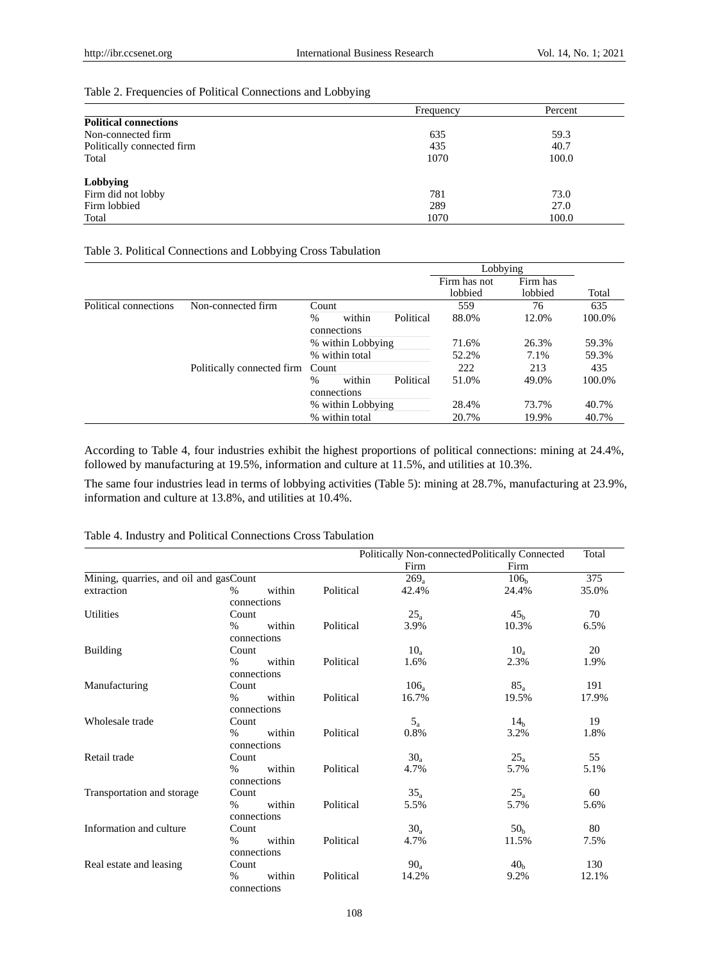#### Table 2. Frequencies of Political Connections and Lobbying

|                              | Frequency | Percent |
|------------------------------|-----------|---------|
| <b>Political connections</b> |           |         |
| Non-connected firm           | 635       | 59.3    |
| Politically connected firm   | 435       | 40.7    |
| Total                        | 1070      | 100.0   |
| Lobbying                     |           |         |
| Firm did not lobby           | 781       | 73.0    |
| Firm lobbied                 | 289       | 27.0    |
| Total                        | 1070      | 100.0   |

# Table 3. Political Connections and Lobbying Cross Tabulation

|                       |                            |               |                       |           | Lobbying                |                     |        |
|-----------------------|----------------------------|---------------|-----------------------|-----------|-------------------------|---------------------|--------|
|                       |                            |               |                       |           | Firm has not<br>lobbied | Firm has<br>lobbied | Total  |
| Political connections | Non-connected firm         | Count         |                       |           | 559                     | 76                  | 635    |
|                       |                            | $\frac{0}{0}$ | within<br>connections | Political | 88.0%                   | 12.0%               | 100.0% |
|                       |                            |               | % within Lobbying     |           | 71.6%                   | 26.3%               | 59.3%  |
|                       |                            |               | % within total        |           | 52.2%                   | 7.1%                | 59.3%  |
|                       | Politically connected firm | Count         |                       |           | 222                     | 213                 | 435    |
|                       |                            | $\frac{0}{0}$ | within<br>connections | Political | 51.0%                   | 49.0%               | 100.0% |
|                       |                            |               | % within Lobbying     |           | 28.4%                   | 73.7%               | 40.7%  |
|                       |                            |               | % within total        |           | 20.7%                   | 19.9%               | 40.7%  |

According to Table 4, four industries exhibit the highest proportions of political connections: mining at 24.4%, followed by manufacturing at 19.5%, information and culture at 11.5%, and utilities at 10.3%.

The same four industries lead in terms of lobbying activities (Table 5): mining at 28.7%, manufacturing at 23.9%, information and culture at 13.8%, and utilities at 10.4%.

|  | Table 4. Industry and Political Connections Cross Tabulation |
|--|--------------------------------------------------------------|
|--|--------------------------------------------------------------|

|                                        |                         |           | Politically Non-connectedPolitically Connected |                  | Total |
|----------------------------------------|-------------------------|-----------|------------------------------------------------|------------------|-------|
|                                        |                         |           | Firm                                           | Firm             |       |
| Mining, quarries, and oil and gasCount |                         |           | $269_a$                                        | 106 <sub>b</sub> | 375   |
| extraction                             | within<br>$\frac{0}{0}$ | Political | 42.4%                                          | 24.4%            | 35.0% |
|                                        | connections             |           |                                                |                  |       |
| Utilities                              | Count                   |           | $25_a$                                         | 45 <sub>h</sub>  | 70    |
|                                        | within<br>$\%$          | Political | 3.9%                                           | 10.3%            | 6.5%  |
|                                        | connections             |           |                                                |                  |       |
| <b>Building</b>                        | Count                   |           | $10_a$                                         | $10_a$           | 20    |
|                                        | within<br>$\frac{0}{0}$ | Political | 1.6%                                           | 2.3%             | 1.9%  |
|                                        | connections             |           |                                                |                  |       |
| Manufacturing                          | Count                   |           | $106_a$                                        | $85_a$           | 191   |
|                                        | within<br>$\%$          | Political | 16.7%                                          | 19.5%            | 17.9% |
|                                        | connections             |           |                                                |                  |       |
| Wholesale trade                        | Count                   |           | $5_a$                                          | 14 <sub>h</sub>  | 19    |
|                                        | within<br>$\%$          | Political | 0.8%                                           | 3.2%             | 1.8%  |
|                                        | connections             |           |                                                |                  |       |
| Retail trade                           | Count                   |           | $30_a$                                         | $25_a$           | 55    |
|                                        | within<br>$\frac{0}{0}$ | Political | 4.7%                                           | 5.7%             | 5.1%  |
|                                        | connections             |           |                                                |                  |       |
| Transportation and storage             | Count                   |           | $35_a$                                         | $25_a$           | 60    |
|                                        | within<br>$\%$          | Political | 5.5%                                           | 5.7%             | 5.6%  |
|                                        | connections             |           |                                                |                  |       |
| Information and culture                | Count                   |           | $30_a$                                         | 50 <sub>h</sub>  | 80    |
|                                        | within<br>$\%$          | Political | 4.7%                                           | 11.5%            | 7.5%  |
|                                        | connections             |           |                                                |                  |       |
| Real estate and leasing                | Count                   |           | $90_a$                                         | 40 <sub>h</sub>  | 130   |
|                                        | within<br>%             | Political | 14.2%                                          | 9.2%             | 12.1% |
|                                        | connections             |           |                                                |                  |       |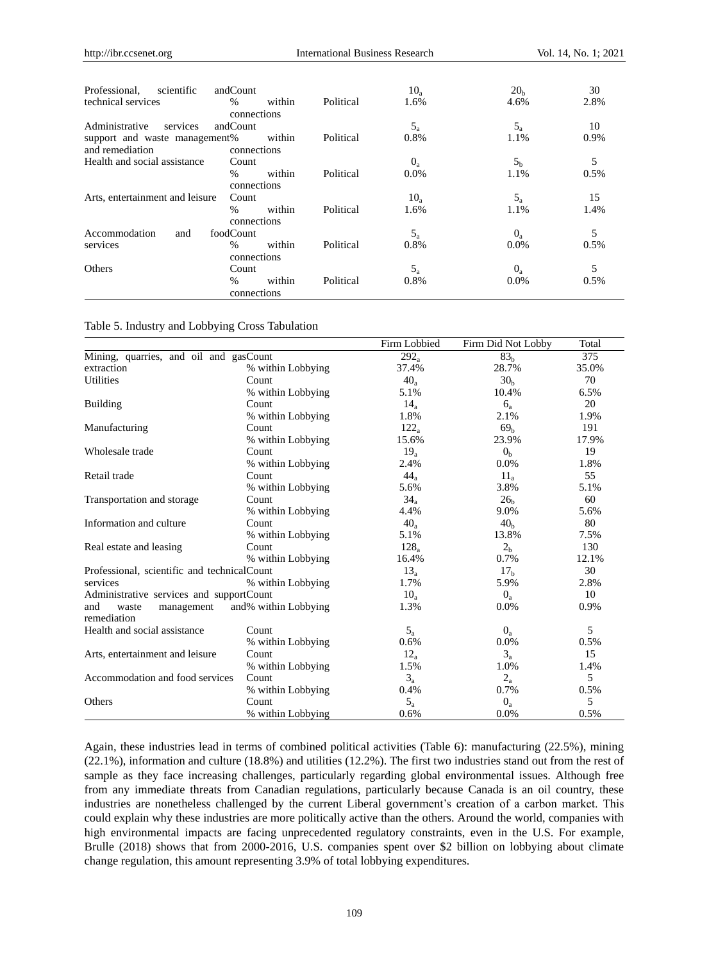| scientific<br>Professional.                      | andCount            |        |           | $10_a$          | 20 <sub>h</sub> | 30   |
|--------------------------------------------------|---------------------|--------|-----------|-----------------|-----------------|------|
| technical services                               | $\%$<br>connections | within | Political | 1.6%            | 4.6%            | 2.8% |
| Administrative<br>services                       | andCount            |        |           | $5_{\rm a}$     | $5_{\rm a}$     | 10   |
| support and waste management%<br>and remediation | connections         | within | Political | 0.8%            | 1.1%            | 0.9% |
| Health and social assistance                     | Count               |        |           | $0_a$           | 5 <sub>h</sub>  |      |
|                                                  | $\%$                | within | Political | $0.0\%$         | 1.1%            | 0.5% |
|                                                  | connections         |        |           |                 |                 |      |
| Arts, entertainment and leisure                  | Count               |        |           | 10 <sub>a</sub> | $5_{\rm a}$     | 15   |
|                                                  | $\%$                | within | Political | 1.6%            | 1.1%            | 1.4% |
|                                                  | connections         |        |           |                 |                 |      |
| Accommodation<br>and                             | foodCount           |        |           | $5_a$           | $0_a$           |      |
| services                                         | $\%$                | within | Political | 0.8%            | $0.0\%$         | 0.5% |
|                                                  | connections         |        |           |                 |                 |      |
| <b>Others</b>                                    | Count               |        |           | $5_a$           | $0_a$           |      |
|                                                  | $\%$                | within | Political | 0.8%            | $0.0\%$         | 0.5% |
|                                                  | connections         |        |           |                 |                 |      |

|                                             |                      | Firm Lobbied | Firm Did Not Lobby | Total |
|---------------------------------------------|----------------------|--------------|--------------------|-------|
| Mining, quarries, and oil and gasCount      |                      | $292_a$      | 83 <sub>h</sub>    | 375   |
| extraction                                  | % within Lobbying    | 37.4%        | 28.7%              | 35.0% |
| <b>Utilities</b>                            | Count                | $40_a$       | 30 <sub>b</sub>    | 70    |
|                                             | % within Lobbying    | 5.1%         | 10.4%              | 6.5%  |
| <b>Building</b>                             | Count                | $14_a$       | $6_a$              | 20    |
|                                             | % within Lobbying    | 1.8%         | 2.1%               | 1.9%  |
| Manufacturing                               | Count                | $122_a$      | 69 <sub>b</sub>    | 191   |
|                                             | % within Lobbying    | 15.6%        | 23.9%              | 17.9% |
| Wholesale trade                             | Count                | $19_a$       | 0 <sub>h</sub>     | 19    |
|                                             | % within Lobbying    | 2.4%         | 0.0%               | 1.8%  |
| Retail trade                                | Count                | $44_a$       | $11_a$             | 55    |
|                                             | % within Lobbying    | 5.6%         | 3.8%               | 5.1%  |
| Transportation and storage                  | Count                | $34_a$       | 26 <sub>b</sub>    | 60    |
|                                             | % within Lobbying    | 4.4%         | 9.0%               | 5.6%  |
| Information and culture                     | Count                | $40_a$       | 40 <sub>h</sub>    | 80    |
|                                             | % within Lobbying    | 5.1%         | 13.8%              | 7.5%  |
| Real estate and leasing                     | Count                | $128_a$      | 2 <sub>b</sub>     | 130   |
|                                             | % within Lobbying    | 16.4%        | 0.7%               | 12.1% |
| Professional, scientific and technicalCount |                      | $13_a$       | 17 <sub>h</sub>    | 30    |
| services                                    | % within Lobbying    | 1.7%         | 5.9%               | 2.8%  |
| Administrative services and supportCount    |                      | $10_a$       | $0_a$              | 10    |
| and<br>management<br>waste                  | and% within Lobbying | 1.3%         | 0.0%               | 0.9%  |
| remediation                                 |                      |              |                    |       |
| Health and social assistance                | Count                | $5_a$        | $0_a$              | 5     |
|                                             | % within Lobbying    | 0.6%         | 0.0%               | 0.5%  |
| Arts, entertainment and leisure             | Count                | $12_a$       | $3_a$              | 15    |
|                                             | % within Lobbying    | 1.5%         | 1.0%               | 1.4%  |
| Accommodation and food services             | Count                | $3_a$        | $2_{\rm a}$        | 5     |
|                                             | % within Lobbying    | 0.4%         | 0.7%               | 0.5%  |
| Others                                      | Count                | $5_a$        | $0_a$              | 5     |
|                                             | % within Lobbying    | 0.6%         | 0.0%               | 0.5%  |

Again, these industries lead in terms of combined political activities (Table 6): manufacturing (22.5%), mining (22.1%), information and culture (18.8%) and utilities (12.2%). The first two industries stand out from the rest of sample as they face increasing challenges, particularly regarding global environmental issues. Although free from any immediate threats from Canadian regulations, particularly because Canada is an oil country, these industries are nonetheless challenged by the current Liberal government's creation of a carbon market. This could explain why these industries are more politically active than the others. Around the world, companies with high environmental impacts are facing unprecedented regulatory constraints, even in the U.S. For example, Brulle (2018) shows that from 2000-2016, U.S. companies spent over \$2 billion on lobbying about climate change regulation, this amount representing 3.9% of total lobbying expenditures.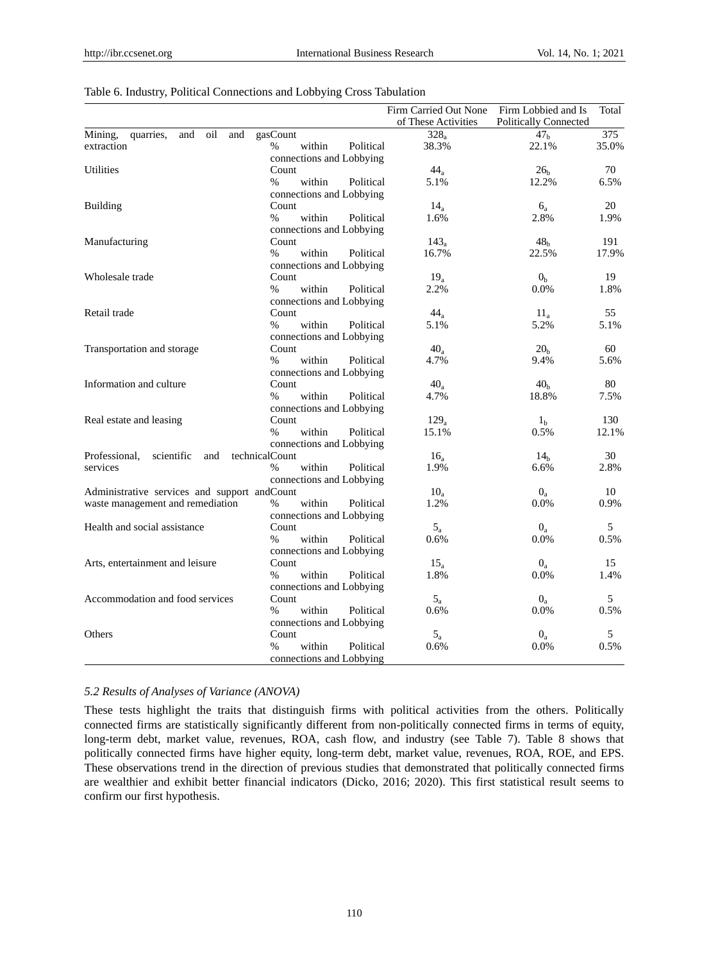|                                              |                                      | Firm Carried Out None | Firm Lobbied and Is          | Total            |
|----------------------------------------------|--------------------------------------|-----------------------|------------------------------|------------------|
|                                              |                                      | of These Activities   | <b>Politically Connected</b> |                  |
| oil<br>Mining,<br>quarries,<br>and<br>and    | gasCount                             | $328_a$               | 47 <sub>h</sub>              | $\overline{375}$ |
| extraction                                   | within<br>Political<br>$\%$          | 38.3%                 | 22.1%                        | 35.0%            |
|                                              | connections and Lobbying             |                       |                              |                  |
| Utilities                                    | Count                                | $44_a$                | 26 <sub>b</sub>              | 70               |
|                                              | within<br>$\%$<br>Political          | 5.1%                  | 12.2%                        | 6.5%             |
|                                              | connections and Lobbying             |                       |                              |                  |
| <b>Building</b>                              | Count                                | $14_a$                | $6_a$                        | 20               |
|                                              | within<br>$\%$<br>Political          | 1.6%                  | 2.8%                         | 1.9%             |
|                                              | connections and Lobbying             |                       |                              |                  |
| Manufacturing                                | Count                                | 143 <sub>a</sub>      | 48 <sub>b</sub>              | 191              |
|                                              | within<br>Political<br>$\%$          | 16.7%                 | 22.5%                        | 17.9%            |
|                                              | connections and Lobbying             |                       |                              |                  |
| Wholesale trade                              | Count                                | 19 <sub>a</sub>       | 0 <sub>b</sub>               | 19               |
|                                              | within<br>Political<br>$\%$          | 2.2%                  | 0.0%                         | 1.8%             |
|                                              | connections and Lobbying             |                       |                              |                  |
| Retail trade                                 | Count                                | $44_a$                | $11_a$                       | 55               |
|                                              | $\%$<br>within<br>Political          | 5.1%                  | 5.2%                         | 5.1%             |
|                                              | connections and Lobbying             |                       |                              |                  |
| Transportation and storage                   | Count                                | $40_a$                | 20 <sub>b</sub>              | 60               |
|                                              | within<br>Political<br>$\%$          | 4.7%                  | 9.4%                         | 5.6%             |
|                                              | connections and Lobbying             |                       |                              |                  |
| Information and culture                      | Count                                | $40_a$                | 40 <sub>b</sub>              | 80               |
|                                              | within<br>Political<br>$\%$          | 4.7%                  | 18.8%                        | 7.5%             |
|                                              | connections and Lobbying             |                       |                              |                  |
|                                              | Count                                | $129_a$               | 1 <sub>b</sub>               | 130              |
| Real estate and leasing                      | within<br>$\%$                       | 15.1%                 | 0.5%                         |                  |
|                                              | Political                            |                       |                              | 12.1%            |
|                                              | connections and Lobbying             |                       |                              | 30               |
| Professional,<br>scientific<br>and           | technicalCount                       | $16_a$                | 14 <sub>h</sub>              |                  |
| services                                     | within<br>$\%$<br>Political          | 1.9%                  | 6.6%                         | 2.8%             |
|                                              | connections and Lobbying             |                       |                              |                  |
| Administrative services and support andCount |                                      | $10_a$                | $0_a$                        | 10               |
| waste management and remediation             | $\frac{0}{0}$<br>within<br>Political | 1.2%                  | 0.0%                         | 0.9%             |
|                                              | connections and Lobbying             |                       |                              |                  |
| Health and social assistance                 | Count                                | $5_a$                 | $0_a$                        | 5                |
|                                              | $\frac{0}{0}$<br>within<br>Political | 0.6%                  | 0.0%                         | 0.5%             |
|                                              | connections and Lobbying             |                       |                              |                  |
| Arts, entertainment and leisure              | Count                                | $15_a$                | $0_a$                        | 15               |
|                                              | within<br>$\%$<br>Political          | 1.8%                  | $0.0\%$                      | 1.4%             |
|                                              | connections and Lobbying             |                       |                              |                  |
| Accommodation and food services              | Count                                | $5_a$                 | $0_a$                        | 5                |
|                                              | $\%$<br>within<br>Political          | 0.6%                  | 0.0%                         | 0.5%             |
|                                              | connections and Lobbying             |                       |                              |                  |
| Others                                       | Count                                | $5_a$                 | $0_a$                        | 5                |
|                                              | within<br>Political<br>$\%$          | 0.6%                  | 0.0%                         | 0.5%             |
|                                              | connections and Lobbying             |                       |                              |                  |

#### Table 6. Industry, Political Connections and Lobbying Cross Tabulation

# *5.2 Results of Analyses of Variance (ANOVA)*

These tests highlight the traits that distinguish firms with political activities from the others. Politically connected firms are statistically significantly different from non-politically connected firms in terms of equity, long-term debt, market value, revenues, ROA, cash flow, and industry (see Table 7). Table 8 shows that politically connected firms have higher equity, long-term debt, market value, revenues, ROA, ROE, and EPS. These observations trend in the direction of previous studies that demonstrated that politically connected firms are wealthier and exhibit better financial indicators (Dicko, 2016; 2020). This first statistical result seems to confirm our first hypothesis.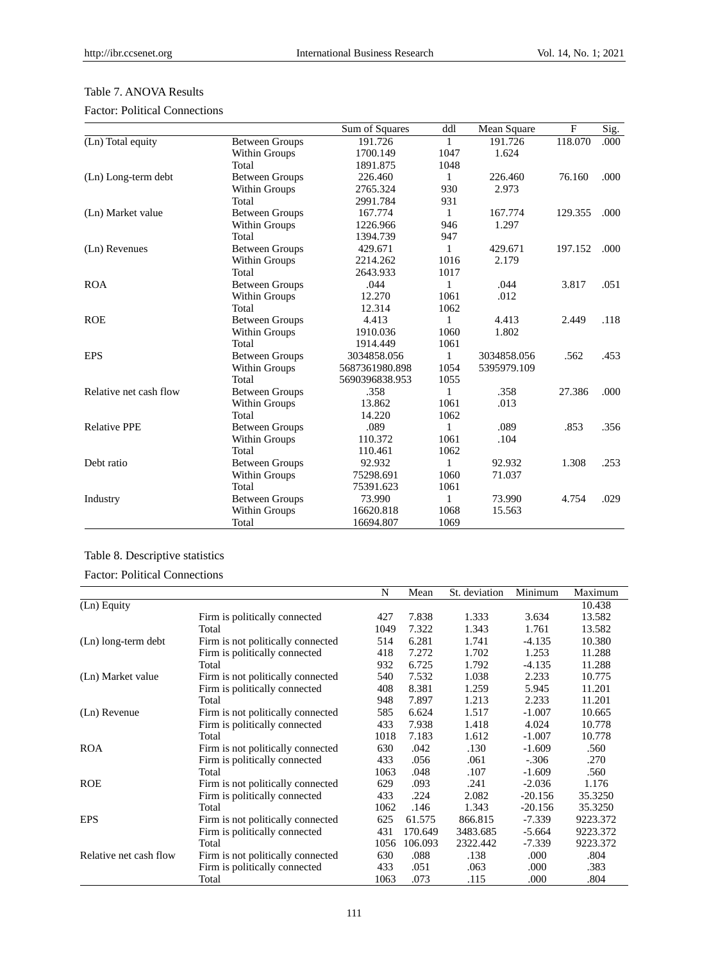# Table 7. ANOVA Results

# Factor: Political Connections

|                        |                       | Sum of Squares | ddl          | Mean Square | $\mathbf{F}$ | Sig. |
|------------------------|-----------------------|----------------|--------------|-------------|--------------|------|
| (Ln) Total equity      | <b>Between Groups</b> | 191.726        | $\mathbf{1}$ | 191.726     | 118.070      | .000 |
|                        | Within Groups         | 1700.149       | 1047         | 1.624       |              |      |
|                        | Total                 | 1891.875       | 1048         |             |              |      |
| (Ln) Long-term debt    | <b>Between Groups</b> | 226.460        | 1            | 226.460     | 76.160       | .000 |
|                        | Within Groups         | 2765.324       | 930          | 2.973       |              |      |
|                        | Total                 | 2991.784       | 931          |             |              |      |
| (Ln) Market value      | <b>Between Groups</b> | 167.774        | 1            | 167.774     | 129.355      | .000 |
|                        | Within Groups         | 1226.966       | 946          | 1.297       |              |      |
|                        | Total                 | 1394.739       | 947          |             |              |      |
| (Ln) Revenues          | <b>Between Groups</b> | 429.671        | $\mathbf{1}$ | 429.671     | 197.152      | .000 |
|                        | Within Groups         | 2214.262       | 1016         | 2.179       |              |      |
|                        | Total                 | 2643.933       | 1017         |             |              |      |
| <b>ROA</b>             | <b>Between Groups</b> | .044           | 1            | .044        | 3.817        | .051 |
|                        | Within Groups         | 12.270         | 1061         | .012        |              |      |
|                        | Total                 | 12.314         | 1062         |             |              |      |
| <b>ROE</b>             | <b>Between Groups</b> | 4.413          | 1            | 4.413       | 2.449        | .118 |
|                        | Within Groups         | 1910.036       | 1060         | 1.802       |              |      |
|                        | Total                 | 1914.449       | 1061         |             |              |      |
| <b>EPS</b>             | <b>Between Groups</b> | 3034858.056    | $\mathbf{1}$ | 3034858.056 | .562         | .453 |
|                        | Within Groups         | 5687361980.898 | 1054         | 5395979.109 |              |      |
|                        | Total                 | 5690396838.953 | 1055         |             |              |      |
| Relative net cash flow | <b>Between Groups</b> | .358           | $\mathbf{1}$ | .358        | 27.386       | .000 |
|                        | Within Groups         | 13.862         | 1061         | .013        |              |      |
|                        | Total                 | 14.220         | 1062         |             |              |      |
| <b>Relative PPE</b>    | <b>Between Groups</b> | .089           | 1            | .089        | .853         | .356 |
|                        | Within Groups         | 110.372        | 1061         | .104        |              |      |
|                        | Total                 | 110.461        | 1062         |             |              |      |
| Debt ratio             | <b>Between Groups</b> | 92.932         | 1            | 92.932      | 1.308        | .253 |
|                        | Within Groups         | 75298.691      | 1060         | 71.037      |              |      |
|                        | Total                 | 75391.623      | 1061         |             |              |      |
| Industry               | <b>Between Groups</b> | 73.990         | 1            | 73.990      | 4.754        | .029 |
|                        | Within Groups         | 16620.818      | 1068         | 15.563      |              |      |
|                        | Total                 | 16694.807      | 1069         |             |              |      |

# Table 8. Descriptive statistics

# Factor: Political Connections

|                        |                                   | N    | Mean    | St. deviation | Minimum   | Maximum  |
|------------------------|-----------------------------------|------|---------|---------------|-----------|----------|
| (Ln) Equity            |                                   |      |         |               |           | 10.438   |
|                        | Firm is politically connected     | 427  | 7.838   | 1.333         | 3.634     | 13.582   |
|                        | Total                             | 1049 | 7.322   | 1.343         | 1.761     | 13.582   |
| (Ln) long-term debt    | Firm is not politically connected | 514  | 6.281   | 1.741         | $-4.135$  | 10.380   |
|                        | Firm is politically connected     | 418  | 7.272   | 1.702         | 1.253     | 11.288   |
|                        | Total                             | 932  | 6.725   | 1.792         | $-4.135$  | 11.288   |
| (Ln) Market value      | Firm is not politically connected | 540  | 7.532   | 1.038         | 2.233     | 10.775   |
|                        | Firm is politically connected     | 408  | 8.381   | 1.259         | 5.945     | 11.201   |
|                        | Total                             | 948  | 7.897   | 1.213         | 2.233     | 11.201   |
| (Ln) Revenue           | Firm is not politically connected | 585  | 6.624   | 1.517         | $-1.007$  | 10.665   |
|                        | Firm is politically connected     | 433  | 7.938   | 1.418         | 4.024     | 10.778   |
|                        | Total                             | 1018 | 7.183   | 1.612         | $-1.007$  | 10.778   |
| <b>ROA</b>             | Firm is not politically connected | 630  | .042    | .130          | $-1.609$  | .560     |
|                        | Firm is politically connected     | 433  | .056    | .061          | $-.306$   | .270     |
|                        | Total                             | 1063 | .048    | .107          | $-1.609$  | .560     |
| <b>ROE</b>             | Firm is not politically connected | 629  | .093    | .241          | $-2.036$  | 1.176    |
|                        | Firm is politically connected     | 433  | .224    | 2.082         | $-20.156$ | 35.3250  |
|                        | Total                             | 1062 | .146    | 1.343         | $-20.156$ | 35.3250  |
| <b>EPS</b>             | Firm is not politically connected | 625  | 61.575  | 866.815       | $-7.339$  | 9223.372 |
|                        | Firm is politically connected     | 431  | 170.649 | 3483.685      | $-5.664$  | 9223.372 |
|                        | Total                             | 1056 | 106.093 | 2322.442      | $-7.339$  | 9223.372 |
| Relative net cash flow | Firm is not politically connected | 630  | .088    | .138          | .000      | .804     |
|                        | Firm is politically connected     | 433  | .051    | .063          | .000      | .383     |
|                        | Total                             | 1063 | .073    | .115          | .000      | .804     |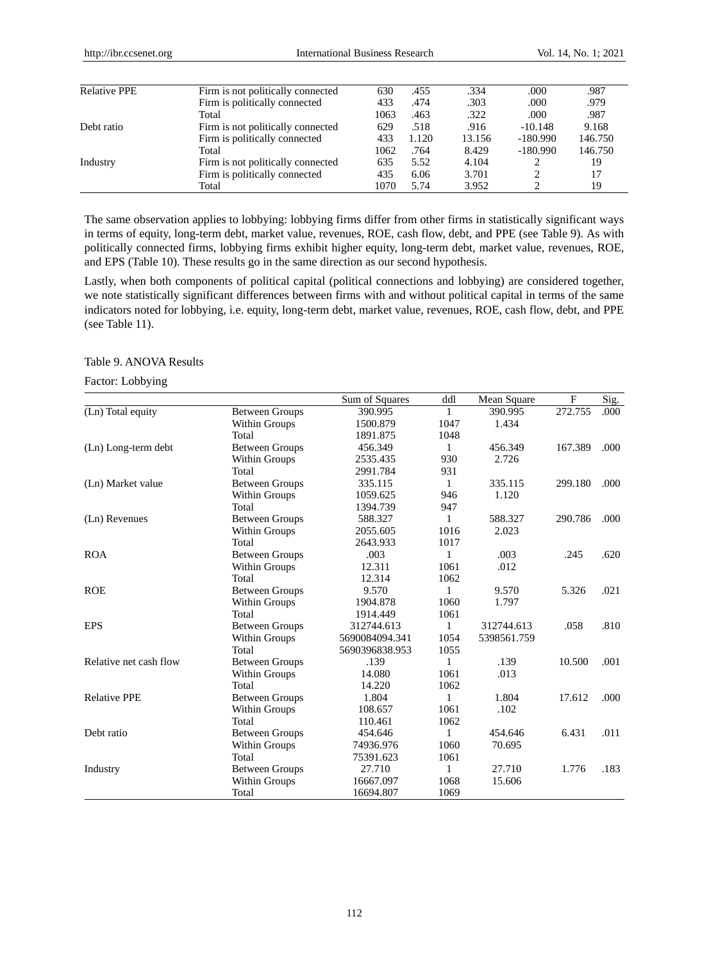| <b>Relative PPE</b> | Firm is not politically connected | 630  | .455  | .334   | .000       | .987    |
|---------------------|-----------------------------------|------|-------|--------|------------|---------|
|                     | Firm is politically connected     | 433  | .474  | .303   | .000       | .979    |
|                     | Total                             | 1063 | .463  | .322   | .000       | .987    |
| Debt ratio          | Firm is not politically connected | 629  | .518  | .916   | $-10.148$  | 9.168   |
|                     | Firm is politically connected     | 433  | 1.120 | 13.156 | $-180.990$ | 146.750 |
|                     | Total                             | 1062 | .764  | 8.429  | $-180.990$ | 146.750 |
| Industry            | Firm is not politically connected | 635  | 5.52  | 4.104  |            | 19      |
|                     | Firm is politically connected     | 435  | 6.06  | 3.701  |            | 17      |
|                     | Total                             | 1070 | 5.74  | 3.952  |            | 19      |

The same observation applies to lobbying: lobbying firms differ from other firms in statistically significant ways in terms of equity, long-term debt, market value, revenues, ROE, cash flow, debt, and PPE (see Table 9). As with politically connected firms, lobbying firms exhibit higher equity, long-term debt, market value, revenues, ROE, and EPS (Table 10). These results go in the same direction as our second hypothesis.

Lastly, when both components of political capital (political connections and lobbying) are considered together, we note statistically significant differences between firms with and without political capital in terms of the same indicators noted for lobbying, i.e. equity, long-term debt, market value, revenues, ROE, cash flow, debt, and PPE (see Table 11).

#### Table 9. ANOVA Results

#### Factor: Lobbying

|                        |                       | Sum of Squares | ddl          | Mean Square | $\mathbf{F}$ | Sig.  |
|------------------------|-----------------------|----------------|--------------|-------------|--------------|-------|
| (Ln) Total equity      | <b>Between Groups</b> | 390.995        | 1            | 390.995     | 272.755      | .000  |
|                        | Within Groups         | 1500.879       | 1047         | 1.434       |              |       |
|                        | Total                 | 1891.875       | 1048         |             |              |       |
| (Ln) Long-term debt    | <b>Between Groups</b> | 456.349        | 1            | 456.349     | 167.389      | .000  |
|                        | Within Groups         | 2535.435       | 930          | 2.726       |              |       |
|                        | Total                 | 2991.784       | 931          |             |              |       |
| (Ln) Market value      | <b>Between Groups</b> | 335.115        | $\mathbf{1}$ | 335.115     | 299.180      | .000. |
|                        | Within Groups         | 1059.625       | 946          | 1.120       |              |       |
|                        | Total                 | 1394.739       | 947          |             |              |       |
| (Ln) Revenues          | <b>Between Groups</b> | 588.327        | 1            | 588.327     | 290.786      | .000  |
|                        | Within Groups         | 2055.605       | 1016         | 2.023       |              |       |
|                        | Total                 | 2643.933       | 1017         |             |              |       |
| <b>ROA</b>             | <b>Between Groups</b> | .003           | 1            | .003        | .245         | .620  |
|                        | Within Groups         | 12.311         | 1061         | .012        |              |       |
|                        | Total                 | 12.314         | 1062         |             |              |       |
| <b>ROE</b>             | <b>Between Groups</b> | 9.570          | 1            | 9.570       | 5.326        | .021  |
|                        | Within Groups         | 1904.878       | 1060         | 1.797       |              |       |
|                        | Total                 | 1914.449       | 1061         |             |              |       |
| <b>EPS</b>             | <b>Between Groups</b> | 312744.613     | 1            | 312744.613  | .058         | .810  |
|                        | Within Groups         | 5690084094.341 | 1054         | 5398561.759 |              |       |
|                        | Total                 | 5690396838.953 | 1055         |             |              |       |
| Relative net cash flow | <b>Between Groups</b> | .139           | 1            | .139        | 10.500       | .001  |
|                        | Within Groups         | 14.080         | 1061         | .013        |              |       |
|                        | Total                 | 14.220         | 1062         |             |              |       |
| <b>Relative PPE</b>    | <b>Between Groups</b> | 1.804          | 1            | 1.804       | 17.612       | .000  |
|                        | Within Groups         | 108.657        | 1061         | .102        |              |       |
|                        | Total                 | 110.461        | 1062         |             |              |       |
| Debt ratio             | <b>Between Groups</b> | 454.646        | 1            | 454.646     | 6.431        | .011  |
|                        | Within Groups         | 74936.976      | 1060         | 70.695      |              |       |
|                        | Total                 | 75391.623      | 1061         |             |              |       |
| Industry               | <b>Between Groups</b> | 27.710         | 1            | 27.710      | 1.776        | .183  |
|                        | Within Groups         | 16667.097      | 1068         | 15.606      |              |       |
|                        | Total                 | 16694.807      | 1069         |             |              |       |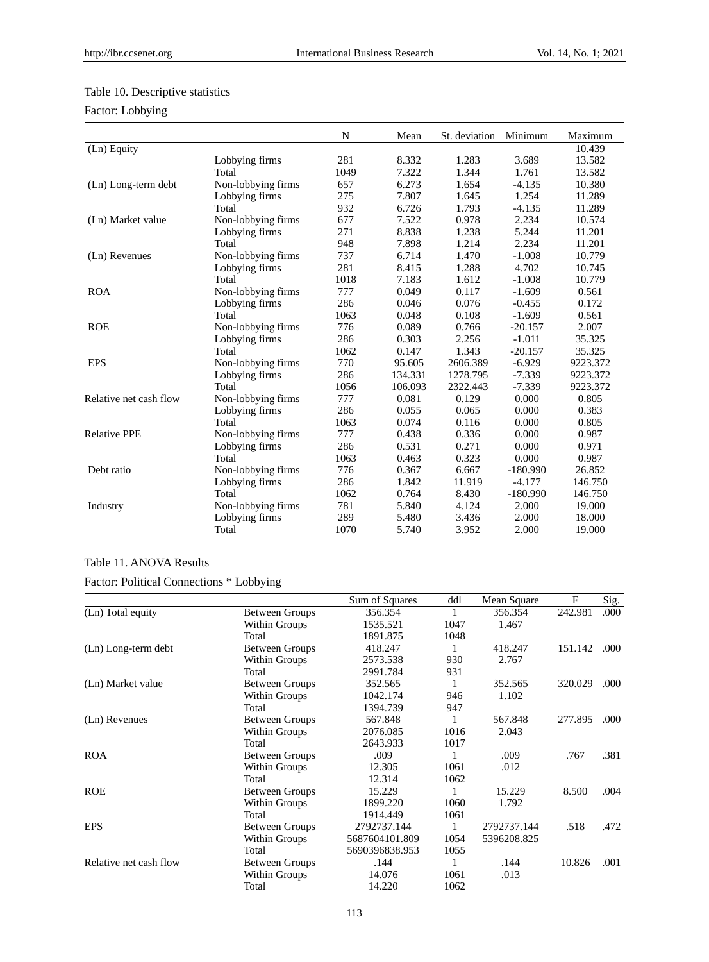# Table 10. Descriptive statistics

# Factor: Lobbying

|                        |                    | N    | Mean    | St. deviation | Minimum    | Maximum  |
|------------------------|--------------------|------|---------|---------------|------------|----------|
| (Ln) Equity            |                    |      |         |               |            | 10.439   |
|                        | Lobbying firms     | 281  | 8.332   | 1.283         | 3.689      | 13.582   |
|                        | Total              | 1049 | 7.322   | 1.344         | 1.761      | 13.582   |
| (Ln) Long-term debt    | Non-lobbying firms | 657  | 6.273   | 1.654         | $-4.135$   | 10.380   |
|                        | Lobbying firms     | 275  | 7.807   | 1.645         | 1.254      | 11.289   |
|                        | Total              | 932  | 6.726   | 1.793         | $-4.135$   | 11.289   |
| (Ln) Market value      | Non-lobbying firms | 677  | 7.522   | 0.978         | 2.234      | 10.574   |
|                        | Lobbying firms     | 271  | 8.838   | 1.238         | 5.244      | 11.201   |
|                        | Total              | 948  | 7.898   | 1.214         | 2.234      | 11.201   |
| (Ln) Revenues          | Non-lobbying firms | 737  | 6.714   | 1.470         | $-1.008$   | 10.779   |
|                        | Lobbying firms     | 281  | 8.415   | 1.288         | 4.702      | 10.745   |
|                        | Total              | 1018 | 7.183   | 1.612         | $-1.008$   | 10.779   |
| <b>ROA</b>             | Non-lobbying firms | 777  | 0.049   | 0.117         | $-1.609$   | 0.561    |
|                        | Lobbying firms     | 286  | 0.046   | 0.076         | $-0.455$   | 0.172    |
|                        | Total              | 1063 | 0.048   | 0.108         | $-1.609$   | 0.561    |
| <b>ROE</b>             | Non-lobbying firms | 776  | 0.089   | 0.766         | $-20.157$  | 2.007    |
|                        | Lobbying firms     | 286  | 0.303   | 2.256         | $-1.011$   | 35.325   |
|                        | Total              | 1062 | 0.147   | 1.343         | $-20.157$  | 35.325   |
| <b>EPS</b>             | Non-lobbying firms | 770  | 95.605  | 2606.389      | $-6.929$   | 9223.372 |
|                        | Lobbying firms     | 286  | 134.331 | 1278.795      | $-7.339$   | 9223.372 |
|                        | Total              | 1056 | 106.093 | 2322.443      | $-7.339$   | 9223.372 |
| Relative net cash flow | Non-lobbying firms | 777  | 0.081   | 0.129         | 0.000      | 0.805    |
|                        | Lobbying firms     | 286  | 0.055   | 0.065         | 0.000      | 0.383    |
|                        | Total              | 1063 | 0.074   | 0.116         | 0.000      | 0.805    |
| <b>Relative PPE</b>    | Non-lobbying firms | 777  | 0.438   | 0.336         | 0.000      | 0.987    |
|                        | Lobbying firms     | 286  | 0.531   | 0.271         | 0.000      | 0.971    |
|                        | Total              | 1063 | 0.463   | 0.323         | 0.000      | 0.987    |
| Debt ratio             | Non-lobbying firms | 776  | 0.367   | 6.667         | $-180.990$ | 26.852   |
|                        | Lobbying firms     | 286  | 1.842   | 11.919        | $-4.177$   | 146.750  |
|                        | Total              | 1062 | 0.764   | 8.430         | $-180.990$ | 146.750  |
| Industry               | Non-lobbying firms | 781  | 5.840   | 4.124         | 2.000      | 19.000   |
|                        | Lobbying firms     | 289  | 5.480   | 3.436         | 2.000      | 18.000   |
|                        | Total              | 1070 | 5.740   | 3.952         | 2.000      | 19.000   |

# Table 11. ANOVA Results

Factor: Political Connections \* Lobbying

|                        |                       | Sum of Squares | ddl  | Mean Square | F       | Sig. |
|------------------------|-----------------------|----------------|------|-------------|---------|------|
| (Ln) Total equity      | Between Groups        | 356.354        |      | 356.354     | 242.981 | .000 |
|                        | Within Groups         | 1535.521       | 1047 | 1.467       |         |      |
|                        | Total                 | 1891.875       | 1048 |             |         |      |
| (Ln) Long-term debt    | <b>Between Groups</b> | 418.247        | 1    | 418.247     | 151.142 | .000 |
|                        | Within Groups         | 2573.538       | 930  | 2.767       |         |      |
|                        | Total                 | 2991.784       | 931  |             |         |      |
| (Ln) Market value      | <b>Between Groups</b> | 352.565        | 1    | 352.565     | 320.029 | .000 |
|                        | Within Groups         | 1042.174       | 946  | 1.102       |         |      |
|                        | Total                 | 1394.739       | 947  |             |         |      |
| (Ln) Revenues          | <b>Between Groups</b> | 567.848        | 1    | 567.848     | 277.895 | .000 |
|                        | Within Groups         | 2076.085       | 1016 | 2.043       |         |      |
|                        | Total                 | 2643.933       | 1017 |             |         |      |
| <b>ROA</b>             | <b>Between Groups</b> | .009           |      | .009        | .767    | .381 |
|                        | Within Groups         | 12.305         | 1061 | .012        |         |      |
|                        | Total                 | 12.314         | 1062 |             |         |      |
| <b>ROE</b>             | <b>Between Groups</b> | 15.229         | 1    | 15.229      | 8.500   | .004 |
|                        | Within Groups         | 1899.220       | 1060 | 1.792       |         |      |
|                        | Total                 | 1914.449       | 1061 |             |         |      |
| <b>EPS</b>             | <b>Between Groups</b> | 2792737.144    | 1    | 2792737.144 | .518    | .472 |
|                        | Within Groups         | 5687604101.809 | 1054 | 5396208.825 |         |      |
|                        | Total                 | 5690396838.953 | 1055 |             |         |      |
| Relative net cash flow | <b>Between Groups</b> | .144           | 1    | .144        | 10.826  | .001 |
|                        | Within Groups         | 14.076         | 1061 | .013        |         |      |
|                        | Total                 | 14.220         | 1062 |             |         |      |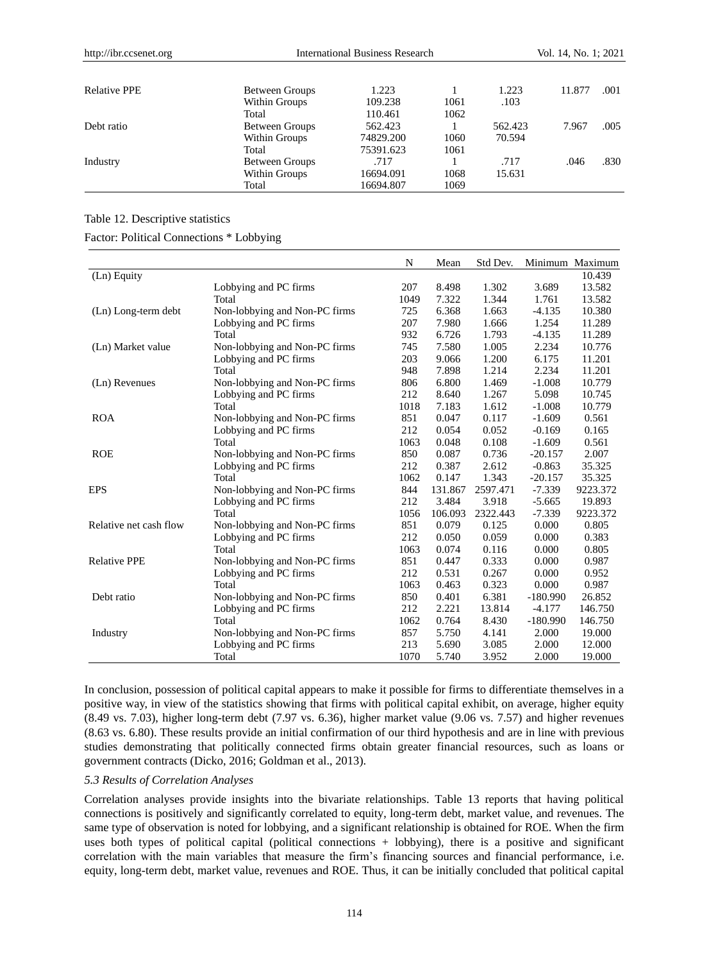| <b>Relative PPE</b> | Between Groups | 1.223     |      | 1.223   | 11.877 | .001 |
|---------------------|----------------|-----------|------|---------|--------|------|
|                     | Within Groups  | 109.238   | 1061 | .103    |        |      |
|                     | Total          | 110.461   | 1062 |         |        |      |
| Debt ratio          | Between Groups | 562.423   |      | 562.423 | 7.967  | .005 |
|                     | Within Groups  | 74829.200 | 1060 | 70.594  |        |      |
|                     | Total          | 75391.623 | 1061 |         |        |      |
| Industry            | Between Groups | .717      |      | .717    | .046   | .830 |
|                     | Within Groups  | 16694.091 | 1068 | 15.631  |        |      |
|                     | Total          | 16694.807 | 1069 |         |        |      |

#### Table 12. Descriptive statistics

#### Factor: Political Connections \* Lobbying

|                        |                               | N    | Mean    | Std Dev. |            | Minimum Maximum |
|------------------------|-------------------------------|------|---------|----------|------------|-----------------|
| (Ln) Equity            |                               |      |         |          |            | 10.439          |
|                        | Lobbying and PC firms         | 207  | 8.498   | 1.302    | 3.689      | 13.582          |
|                        | Total                         | 1049 | 7.322   | 1.344    | 1.761      | 13.582          |
| (Ln) Long-term debt    | Non-lobbying and Non-PC firms | 725  | 6.368   | 1.663    | $-4.135$   | 10.380          |
|                        | Lobbying and PC firms         | 207  | 7.980   | 1.666    | 1.254      | 11.289          |
|                        | Total                         | 932  | 6.726   | 1.793    | $-4.135$   | 11.289          |
| (Ln) Market value      | Non-lobbying and Non-PC firms | 745  | 7.580   | 1.005    | 2.234      | 10.776          |
|                        | Lobbying and PC firms         | 203  | 9.066   | 1.200    | 6.175      | 11.201          |
|                        | Total                         | 948  | 7.898   | 1.214    | 2.234      | 11.201          |
| (Ln) Revenues          | Non-lobbying and Non-PC firms | 806  | 6.800   | 1.469    | $-1.008$   | 10.779          |
|                        | Lobbying and PC firms         | 212  | 8.640   | 1.267    | 5.098      | 10.745          |
|                        | Total                         | 1018 | 7.183   | 1.612    | $-1.008$   | 10.779          |
| <b>ROA</b>             | Non-lobbying and Non-PC firms | 851  | 0.047   | 0.117    | $-1.609$   | 0.561           |
|                        | Lobbying and PC firms         | 212  | 0.054   | 0.052    | $-0.169$   | 0.165           |
|                        | Total                         | 1063 | 0.048   | 0.108    | $-1.609$   | 0.561           |
| <b>ROE</b>             | Non-lobbying and Non-PC firms | 850  | 0.087   | 0.736    | $-20.157$  | 2.007           |
|                        | Lobbying and PC firms         | 212  | 0.387   | 2.612    | $-0.863$   | 35.325          |
|                        | Total                         | 1062 | 0.147   | 1.343    | $-20.157$  | 35.325          |
| <b>EPS</b>             | Non-lobbying and Non-PC firms | 844  | 131.867 | 2597.471 | $-7.339$   | 9223.372        |
|                        | Lobbying and PC firms         | 212  | 3.484   | 3.918    | $-5.665$   | 19.893          |
|                        | Total                         | 1056 | 106.093 | 2322.443 | $-7.339$   | 9223.372        |
| Relative net cash flow | Non-lobbying and Non-PC firms | 851  | 0.079   | 0.125    | 0.000      | 0.805           |
|                        | Lobbying and PC firms         | 212  | 0.050   | 0.059    | 0.000      | 0.383           |
|                        | Total                         | 1063 | 0.074   | 0.116    | 0.000      | 0.805           |
| <b>Relative PPE</b>    | Non-lobbying and Non-PC firms | 851  | 0.447   | 0.333    | 0.000      | 0.987           |
|                        | Lobbying and PC firms         | 212  | 0.531   | 0.267    | 0.000      | 0.952           |
|                        | Total                         | 1063 | 0.463   | 0.323    | 0.000      | 0.987           |
| Debt ratio             | Non-lobbying and Non-PC firms | 850  | 0.401   | 6.381    | $-180.990$ | 26.852          |
|                        | Lobbying and PC firms         | 212  | 2.221   | 13.814   | $-4.177$   | 146.750         |
|                        | Total                         | 1062 | 0.764   | 8.430    | $-180.990$ | 146.750         |
| Industry               | Non-lobbying and Non-PC firms | 857  | 5.750   | 4.141    | 2.000      | 19.000          |
|                        | Lobbying and PC firms         | 213  | 5.690   | 3.085    | 2.000      | 12.000          |
|                        | Total                         | 1070 | 5.740   | 3.952    | 2.000      | 19.000          |

In conclusion, possession of political capital appears to make it possible for firms to differentiate themselves in a positive way, in view of the statistics showing that firms with political capital exhibit, on average, higher equity (8.49 vs. 7.03), higher long-term debt (7.97 vs. 6.36), higher market value (9.06 vs. 7.57) and higher revenues (8.63 vs. 6.80). These results provide an initial confirmation of our third hypothesis and are in line with previous studies demonstrating that politically connected firms obtain greater financial resources, such as loans or government contracts (Dicko, 2016; Goldman et al., 2013).

## *5.3 Results of Correlation Analyses*

Correlation analyses provide insights into the bivariate relationships. Table 13 reports that having political connections is positively and significantly correlated to equity, long-term debt, market value, and revenues. The same type of observation is noted for lobbying, and a significant relationship is obtained for ROE. When the firm uses both types of political capital (political connections + lobbying), there is a positive and significant correlation with the main variables that measure the firm's financing sources and financial performance, i.e. equity, long-term debt, market value, revenues and ROE. Thus, it can be initially concluded that political capital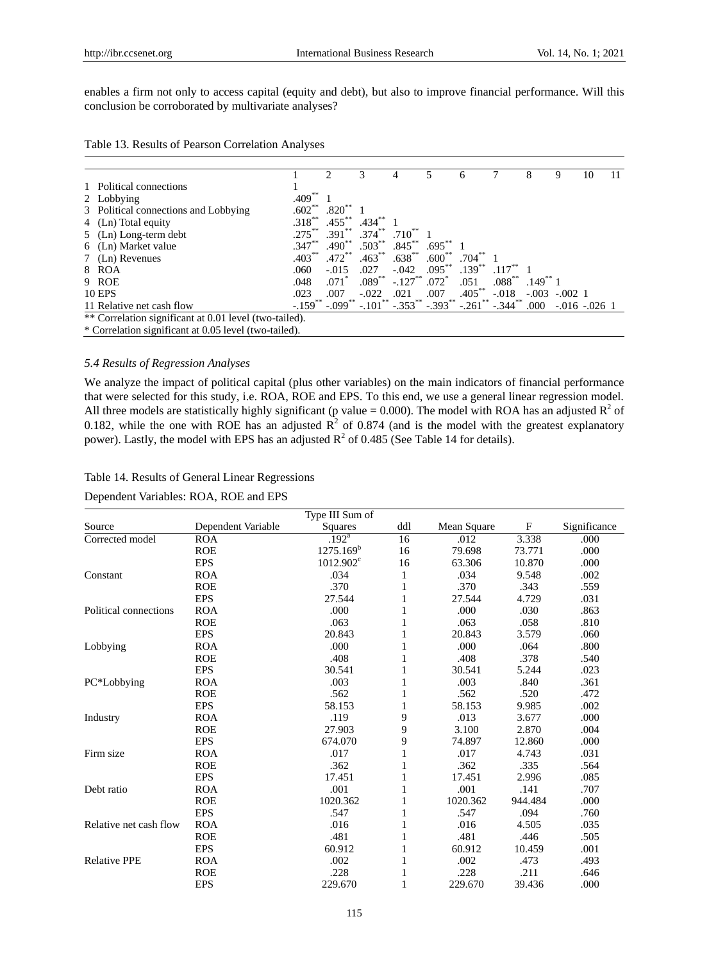enables a firm not only to access capital (equity and debt), but also to improve financial performance. Will this conclusion be corroborated by multivariate analyses?

| Table 13. Results of Pearson Correlation Analyses |  |
|---------------------------------------------------|--|
|---------------------------------------------------|--|

|                                                        |                       |                         | 3           |                    |             | 6           |                         | 8            | 9                  | 10 | 11 |
|--------------------------------------------------------|-----------------------|-------------------------|-------------|--------------------|-------------|-------------|-------------------------|--------------|--------------------|----|----|
| 1 Political connections                                |                       |                         |             |                    |             |             |                         |              |                    |    |    |
| 2 Lobbying                                             | $.409***$             |                         |             |                    |             |             |                         |              |                    |    |    |
| 3 Political connections and Lobbying                   | $.602***$             | .820                    |             |                    |             |             |                         |              |                    |    |    |
| 4 (Ln) Total equity                                    | $.318***$             | $.455***$               | $.434***$   |                    |             |             |                         |              |                    |    |    |
| 5 (Ln) Long-term debt                                  | $.275***$             | $.391**$                | $.374***$   | $.710^{**}$        |             |             |                         |              |                    |    |    |
| 6 (Ln) Market value                                    | $.347***$             | $.490**$                | $.503***$   | $.845***$          | $.695***$   |             |                         |              |                    |    |    |
| 7 (Ln) Revenues                                        | $.403***$             | $.472***$               | $.463**$    | $.638***$          | $.600**$    | .704        |                         |              |                    |    |    |
| 8 ROA                                                  | .060                  | $-.015$                 | .027        | $-.042$            | $.095***$   | $.139^{**}$ | $.117***$               |              |                    |    |    |
| 9 ROE                                                  | .048                  | $.071*$                 | $.089^{**}$ | $-.127$ **         | $.072*$     | .051        | $.088^{**}$             | $.149^{**}1$ |                    |    |    |
| <b>10 EPS</b>                                          | .023                  | .007                    | $-.022$     | .021               | .007        | $.405***$   | $-.018$                 |              | $-.003-.002$ 1     |    |    |
| 11 Relative net cash flow                              | $-.159$ <sup>**</sup> | $-.099$ <sup>**</sup> - |             | $101^{**}$ -.353** | $-393$ ** - | $-261$ $+$  | $-344$ <sup>**</sup> 1. | .000         | $-0.016 - 0.026$ 1 |    |    |
| ** Correlation significant at 0.01 level (two-tailed). |                       |                         |             |                    |             |             |                         |              |                    |    |    |
| * Correlation significant at 0.05 level (two-tailed).  |                       |                         |             |                    |             |             |                         |              |                    |    |    |

# *5.4 Results of Regression Analyses*

We analyze the impact of political capital (plus other variables) on the main indicators of financial performance that were selected for this study, i.e. ROA, ROE and EPS. To this end, we use a general linear regression model. All three models are statistically highly significant (p value = 0.000). The model with ROA has an adjusted  $R^2$  of 0.182, while the one with ROE has an adjusted  $R^2$  of 0.874 (and is the model with the greatest explanatory power). Lastly, the model with EPS has an adjusted  $R^2$  of 0.485 (See Table 14 for details).

| Type III Sum of        |                    |                    |              |             |             |              |  |  |
|------------------------|--------------------|--------------------|--------------|-------------|-------------|--------------|--|--|
| Source                 | Dependent Variable | Squares            | ddl          | Mean Square | $\mathbf F$ | Significance |  |  |
| Corrected model        | <b>ROA</b>         | .192 <sup>a</sup>  | 16           | .012        | 3.338       | .000         |  |  |
|                        | <b>ROE</b>         | $1275.169^b$       | 16           | 79.698      | 73.771      | .000         |  |  |
|                        | <b>EPS</b>         | $1012.902^{\circ}$ | 16           | 63.306      | 10.870      | .000         |  |  |
| Constant               | <b>ROA</b>         | .034               | 1            | .034        | 9.548       | .002         |  |  |
|                        | <b>ROE</b>         | .370               | $\mathbf{1}$ | .370        | .343        | .559         |  |  |
|                        | <b>EPS</b>         | 27.544             | 1            | 27.544      | 4.729       | .031         |  |  |
| Political connections  | <b>ROA</b>         | .000               | 1            | .000        | .030        | .863         |  |  |
|                        | <b>ROE</b>         | .063               | 1            | .063        | .058        | .810         |  |  |
|                        | <b>EPS</b>         | 20.843             | 1            | 20.843      | 3.579       | .060         |  |  |
| Lobbying               | <b>ROA</b>         | .000               | 1            | .000        | .064        | .800         |  |  |
|                        | <b>ROE</b>         | .408               | 1            | .408        | .378        | .540         |  |  |
|                        | <b>EPS</b>         | 30.541             | 1            | 30.541      | 5.244       | .023         |  |  |
| PC*Lobbying            | <b>ROA</b>         | .003               | $\mathbf{1}$ | .003        | .840        | .361         |  |  |
|                        | <b>ROE</b>         | .562               | 1            | .562        | .520        | .472         |  |  |
|                        | <b>EPS</b>         | 58.153             | 1            | 58.153      | 9.985       | .002         |  |  |
| Industry               | <b>ROA</b>         | .119               | 9            | .013        | 3.677       | .000         |  |  |
|                        | <b>ROE</b>         | 27.903             | 9            | 3.100       | 2.870       | .004         |  |  |
|                        | <b>EPS</b>         | 674.070            | 9            | 74.897      | 12.860      | .000         |  |  |
| Firm size              | <b>ROA</b>         | .017               | $\mathbf{1}$ | .017        | 4.743       | .031         |  |  |
|                        | <b>ROE</b>         | .362               | 1            | .362        | .335        | .564         |  |  |
|                        | <b>EPS</b>         | 17.451             | 1            | 17.451      | 2.996       | .085         |  |  |
| Debt ratio             | <b>ROA</b>         | .001               | 1            | .001        | .141        | .707         |  |  |
|                        | <b>ROE</b>         | 1020.362           | 1            | 1020.362    | 944.484     | .000         |  |  |
|                        | <b>EPS</b>         | .547               | 1            | .547        | .094        | .760         |  |  |
| Relative net cash flow | <b>ROA</b>         | .016               | 1            | .016        | 4.505       | .035         |  |  |
|                        | <b>ROE</b>         | .481               | 1            | .481        | .446        | .505         |  |  |
|                        | <b>EPS</b>         | 60.912             | $\mathbf{1}$ | 60.912      | 10.459      | .001         |  |  |
| <b>Relative PPE</b>    | <b>ROA</b>         | .002               | 1            | .002        | .473        | .493         |  |  |
|                        | <b>ROE</b>         | .228               | 1            | .228        | .211        | .646         |  |  |
|                        | <b>EPS</b>         | 229.670            | $\mathbf{1}$ | 229.670     | 39.436      | .000         |  |  |

# Table 14. Results of General Linear Regressions

Dependent Variables: ROA, ROE and EPS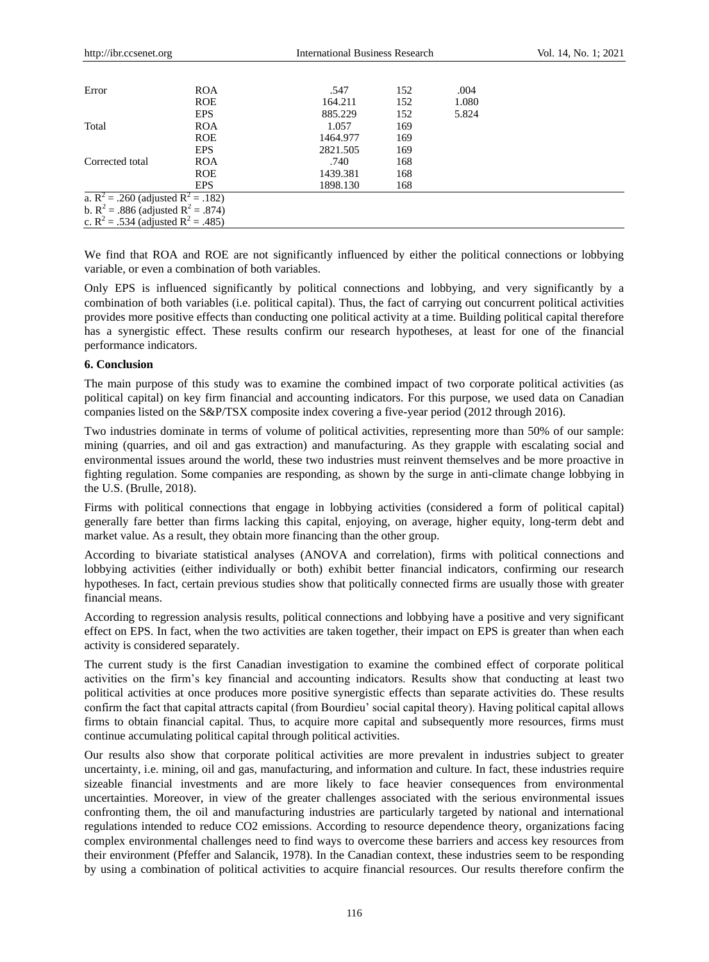| http://ibr.ccsenet.org                                                               |            |          | <b>International Business Research</b> |       |  |  |  |
|--------------------------------------------------------------------------------------|------------|----------|----------------------------------------|-------|--|--|--|
| Error                                                                                | <b>ROA</b> | .547     | 152                                    | .004  |  |  |  |
|                                                                                      | <b>ROE</b> | 164.211  | 152                                    | 1.080 |  |  |  |
|                                                                                      | <b>EPS</b> | 885.229  | 152                                    | 5.824 |  |  |  |
| Total                                                                                | <b>ROA</b> | 1.057    | 169                                    |       |  |  |  |
|                                                                                      | <b>ROE</b> | 1464.977 | 169                                    |       |  |  |  |
|                                                                                      | <b>EPS</b> | 2821.505 | 169                                    |       |  |  |  |
| Corrected total                                                                      | <b>ROA</b> | .740     | 168                                    |       |  |  |  |
|                                                                                      | <b>ROE</b> | 1439.381 | 168                                    |       |  |  |  |
|                                                                                      | <b>EPS</b> | 1898.130 | 168                                    |       |  |  |  |
| a. $R^2$ = .260 (adjusted $R^2$ = .182)                                              |            |          |                                        |       |  |  |  |
| b. $R^2 = .886$ (adjusted $R^2 = .874$ )<br>c. $R^2 = .534$ (adjusted $R^2 = .485$ ) |            |          |                                        |       |  |  |  |
|                                                                                      |            |          |                                        |       |  |  |  |

We find that ROA and ROE are not significantly influenced by either the political connections or lobbying variable, or even a combination of both variables.

Only EPS is influenced significantly by political connections and lobbying, and very significantly by a combination of both variables (i.e. political capital). Thus, the fact of carrying out concurrent political activities provides more positive effects than conducting one political activity at a time. Building political capital therefore has a synergistic effect. These results confirm our research hypotheses, at least for one of the financial performance indicators.

# **6. Conclusion**

The main purpose of this study was to examine the combined impact of two corporate political activities (as political capital) on key firm financial and accounting indicators. For this purpose, we used data on Canadian companies listed on the S&P/TSX composite index covering a five-year period (2012 through 2016).

Two industries dominate in terms of volume of political activities, representing more than 50% of our sample: mining (quarries, and oil and gas extraction) and manufacturing. As they grapple with escalating social and environmental issues around the world, these two industries must reinvent themselves and be more proactive in fighting regulation. Some companies are responding, as shown by the surge in anti-climate change lobbying in the U.S. (Brulle, 2018).

Firms with political connections that engage in lobbying activities (considered a form of political capital) generally fare better than firms lacking this capital, enjoying, on average, higher equity, long-term debt and market value. As a result, they obtain more financing than the other group.

According to bivariate statistical analyses (ANOVA and correlation), firms with political connections and lobbying activities (either individually or both) exhibit better financial indicators, confirming our research hypotheses. In fact, certain previous studies show that politically connected firms are usually those with greater financial means.

According to regression analysis results, political connections and lobbying have a positive and very significant effect on EPS. In fact, when the two activities are taken together, their impact on EPS is greater than when each activity is considered separately.

The current study is the first Canadian investigation to examine the combined effect of corporate political activities on the firm's key financial and accounting indicators. Results show that conducting at least two political activities at once produces more positive synergistic effects than separate activities do. These results confirm the fact that capital attracts capital (from Bourdieu' social capital theory). Having political capital allows firms to obtain financial capital. Thus, to acquire more capital and subsequently more resources, firms must continue accumulating political capital through political activities.

Our results also show that corporate political activities are more prevalent in industries subject to greater uncertainty, i.e. mining, oil and gas, manufacturing, and information and culture. In fact, these industries require sizeable financial investments and are more likely to face heavier consequences from environmental uncertainties. Moreover, in view of the greater challenges associated with the serious environmental issues confronting them, the oil and manufacturing industries are particularly targeted by national and international regulations intended to reduce CO2 emissions. According to resource dependence theory, organizations facing complex environmental challenges need to find ways to overcome these barriers and access key resources from their environment (Pfeffer and Salancik, 1978). In the Canadian context, these industries seem to be responding by using a combination of political activities to acquire financial resources. Our results therefore confirm the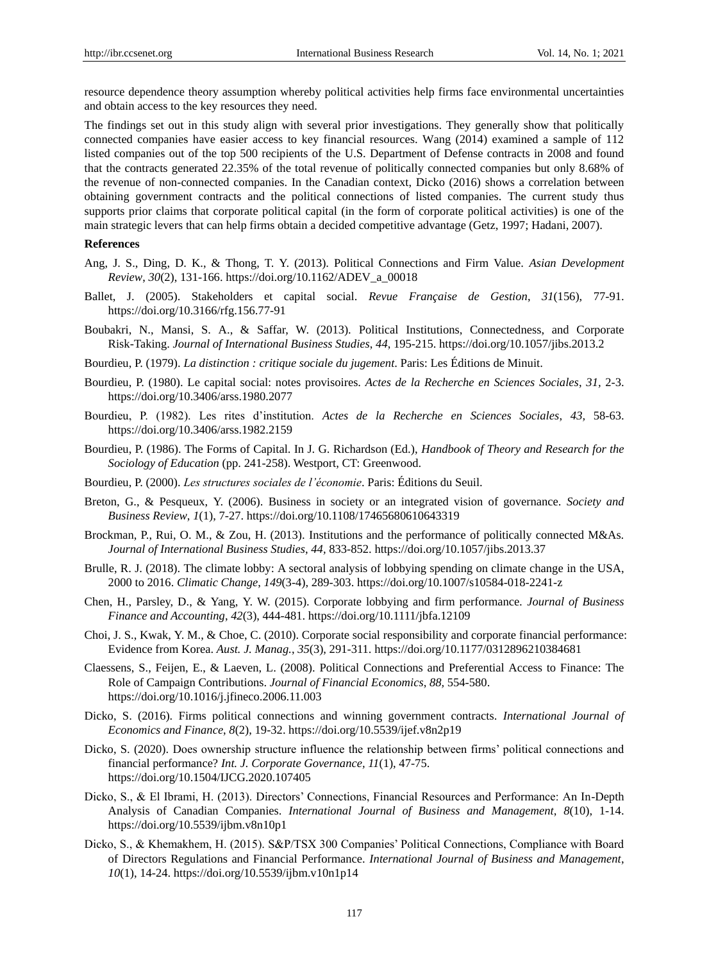resource dependence theory assumption whereby political activities help firms face environmental uncertainties and obtain access to the key resources they need.

The findings set out in this study align with several prior investigations. They generally show that politically connected companies have easier access to key financial resources. Wang (2014) examined a sample of 112 listed companies out of the top 500 recipients of the U.S. Department of Defense contracts in 2008 and found that the contracts generated 22.35% of the total revenue of politically connected companies but only 8.68% of the revenue of non-connected companies. In the Canadian context, Dicko (2016) shows a correlation between obtaining government contracts and the political connections of listed companies. The current study thus supports prior claims that corporate political capital (in the form of corporate political activities) is one of the main strategic levers that can help firms obtain a decided competitive advantage (Getz, 1997; Hadani, 2007).

## **References**

- Ang, J. S., Ding, D. K., & Thong, T. Y. (2013). Political Connections and Firm Value. *Asian Development Review*, *30*(2), 131-166. https://doi.org/10.1162/ADEV\_a\_00018
- Ballet, J. (2005). Stakeholders et capital social. *Revue Française de Gestion*, *31*(156), 77-91. https://doi.org/10.3166/rfg.156.77-91
- Boubakri, N., Mansi, S. A., & Saffar, W. (2013). Political Institutions, Connectedness, and Corporate Risk-Taking. *Journal of International Business Studies*, *44*, 195-215. https://doi.org/10.1057/jibs.2013.2
- Bourdieu, P. (1979). *La distinction : critique sociale du jugement*. Paris: Les Éditions de Minuit.
- Bourdieu, P. (1980). Le capital social: notes provisoires. *Actes de la Recherche en Sciences Sociales*, *31,* 2-3. https://doi.org/10.3406/arss.1980.2077
- Bourdieu, P. (1982). Les rites d'institution. *Actes de la Recherche en Sciences Sociales*, *43,* 58-63. https://doi.org/10.3406/arss.1982.2159
- Bourdieu, P. (1986). The Forms of Capital. In J. G. Richardson (Ed.), *Handbook of Theory and Research for the Sociology of Education* (pp. 241-258). Westport, CT: Greenwood.
- Bourdieu, P. (2000). *Les structures sociales de l'économie*. Paris: Éditions du Seuil.
- Breton, G., & Pesqueux, Y. (2006). Business in society or an integrated vision of governance. *Society and Business Review*, *1*(1), 7-27. https://doi.org/10.1108/17465680610643319
- Brockman, P., Rui, O. M., & Zou, H. (2013). Institutions and the performance of politically connected M&As. *Journal of International Business Studies*, *44,* 833-852. https://doi.org/10.1057/jibs.2013.37
- Brulle, R. J. (2018). The climate lobby: A sectoral analysis of lobbying spending on climate change in the USA, 2000 to 2016. *Climatic Change*, *149*(3-4), 289-303. https://doi.org/10.1007/s10584-018-2241-z
- Chen, H., Parsley, D., & Yang, Y. W. (2015). Corporate lobbying and firm performance*. Journal of Business Finance and Accounting*, *42*(3), 444-481. https://doi.org/10.1111/jbfa.12109
- Choi, J. S., Kwak, Y. M., & Choe, C. (2010). Corporate social responsibility and corporate financial performance: Evidence from Korea. *Aust. J. Manag.*, *35*(3), 291-311. https://doi.org/10.1177/0312896210384681
- Claessens, S., Feijen, E., & Laeven, L. (2008). Political Connections and Preferential Access to Finance: The Role of Campaign Contributions. *Journal of Financial Economics*, *88,* 554-580. https://doi.org/10.1016/j.jfineco.2006.11.003
- Dicko, S. (2016). Firms political connections and winning government contracts. *International Journal of Economics and Finance*, *8*(2), 19-32. https://doi.org/10.5539/ijef.v8n2p19
- Dicko, S. (2020). Does ownership structure influence the relationship between firms' political connections and financial performance? *Int. J. Corporate Governance, 11*(1), 47-75. https://doi.org/10.1504/IJCG.2020.107405
- Dicko, S., & El Ibrami, H. (2013). Directors' Connections, Financial Resources and Performance: An In-Depth Analysis of Canadian Companies. *International Journal of Business and Management*, *8*(10), 1-14. https://doi.org/10.5539/ijbm.v8n10p1
- Dicko, S., & Khemakhem, H. (2015). S&P/TSX 300 Companies' Political Connections, Compliance with Board of Directors Regulations and Financial Performance. *International Journal of Business and Management*, *10*(1), 14-24. https://doi.org/10.5539/ijbm.v10n1p14